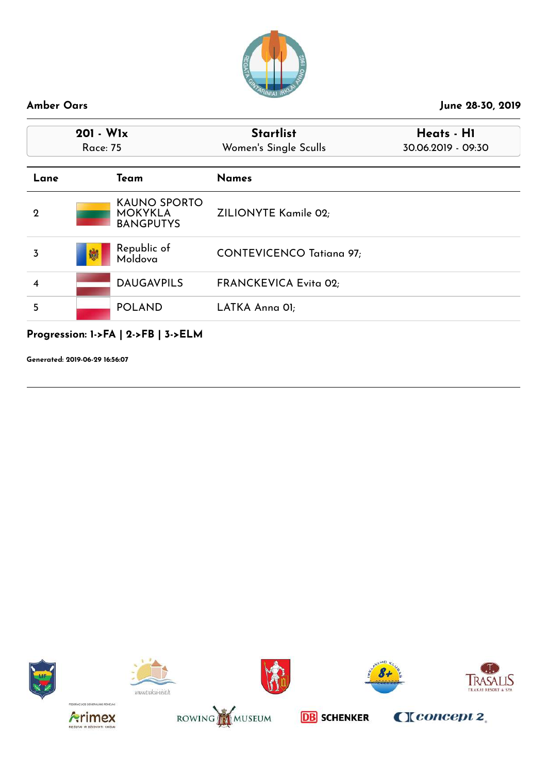

| $201 - W1x$<br>Race: 75 |                                                           | <b>Startlist</b><br>Women's Single Sculls | Heats - H1<br>30.06.2019 - 09:30 |  |
|-------------------------|-----------------------------------------------------------|-------------------------------------------|----------------------------------|--|
| Lane                    | Team                                                      | <b>Names</b>                              |                                  |  |
| $\mathbf 2$             | <b>KAUNO SPORTO</b><br><b>MOKYKLA</b><br><b>BANGPUTYS</b> | ZILIONYTE Kamile 02;                      |                                  |  |
| 3                       | Republic of<br>鯻<br>Moldova                               | <b>CONTEVICENCO Tatiana 97;</b>           |                                  |  |
| 4                       | <b>DAUGAVPILS</b>                                         | <b>FRANCKEVICA Evita 02;</b>              |                                  |  |
| 5                       | <b>POLAND</b>                                             | LATKA Anna OI;                            |                                  |  |

# **Progression: 1->FA | 2->FB | 3->ELM**

**Generated: 2019-06-29 16:56:07**















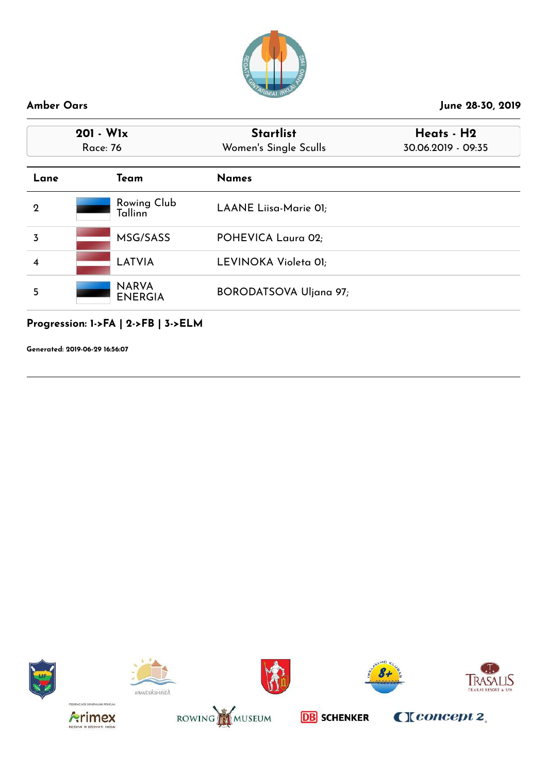

| 201 - Wlx<br>Race: 76 |                                | <b>Startlist</b><br>Women's Single Sculls | Heats - H2<br>30.06.2019 - 09:35 |
|-----------------------|--------------------------------|-------------------------------------------|----------------------------------|
| Lane                  | Team                           | <b>Names</b>                              |                                  |
| 2                     | Rowing Club<br>Tallinn         | LAANE Liisa-Marie 01;                     |                                  |
| 3                     | MSG/SASS                       | POHEVICA Laura 02;                        |                                  |
| 4                     | LATVIA                         | LEVINOKA Violeta 01;                      |                                  |
| 5                     | <b>NARVA</b><br><b>ENERGIA</b> | <b>BORODATSOVA Uljana 97;</b>             |                                  |

**Progression: 1->FA | 2->FB | 3->ELM**

**Generated: 2019-06-29 16:56:07**















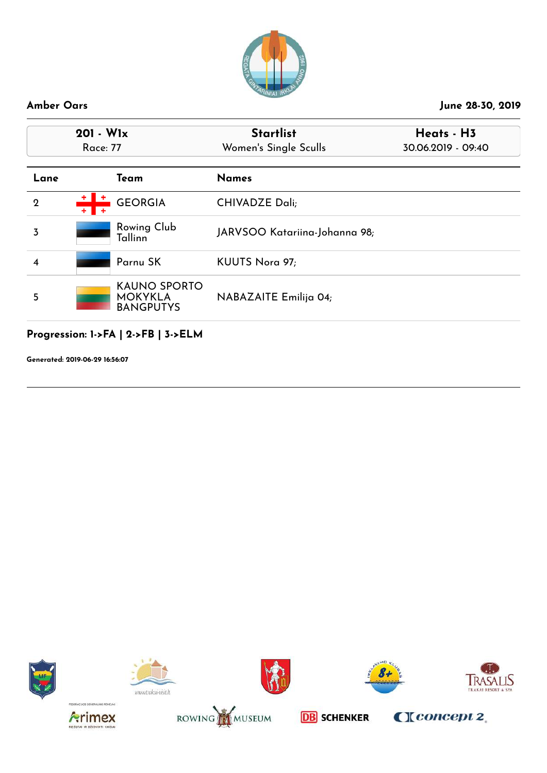

| $201 - W1x$<br><b>Race: 77</b> |                                                           | <b>Startlist</b>              | Heats - H3         |
|--------------------------------|-----------------------------------------------------------|-------------------------------|--------------------|
|                                |                                                           | Women's Single Sculls         | 30.06.2019 - 09:40 |
| Lane                           | Team                                                      | <b>Names</b>                  |                    |
| $\mathbf 2$                    | <b>GEORGIA</b>                                            | <b>CHIVADZE Dali;</b>         |                    |
| 3                              | Rowing Club<br>Tallinn                                    | JARVSOO Katariina-Johanna 98; |                    |
|                                | Parnu SK                                                  | KUUTS Nora 97;                |                    |
| 5                              | <b>KAUNO SPORTO</b><br><b>MOKYKLA</b><br><b>BANGPUTYS</b> | NABAZAITE Emilija 04;         |                    |

## **Progression: 1->FA | 2->FB | 3->ELM**

**Generated: 2019-06-29 16:56:07**















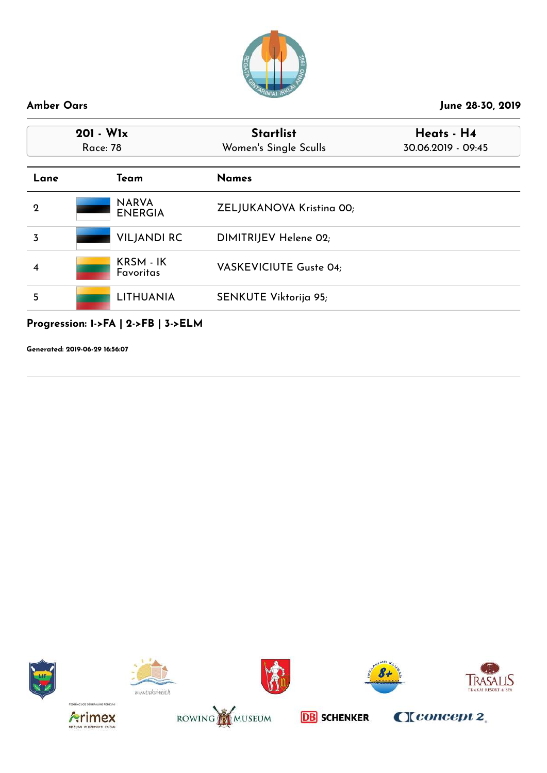

| $201 - W1x$<br>Race: 78 |                                     | <b>Startlist</b><br>Women's Single Sculls | Heats - H4<br>30.06.2019 - 09:45 |
|-------------------------|-------------------------------------|-------------------------------------------|----------------------------------|
| Lane                    | Team                                | <b>Names</b>                              |                                  |
| $\mathbf 2$             | <b>NARVA</b><br><b>ENERGIA</b>      | ZELJUKANOVA Kristina 00;                  |                                  |
| 3                       | <b>VILJANDI RC</b>                  | DIMITRIJEV Helene 02;                     |                                  |
| 4                       | KRSM - IK<br>Favoritas              | VASKEVICIUTE Guste 04;                    |                                  |
| 5                       | <b>LITHUANIA</b>                    | SENKUTE Viktorija 95;                     |                                  |
|                         | Progression: 1->FA   2->FB   3->ELM |                                           |                                  |















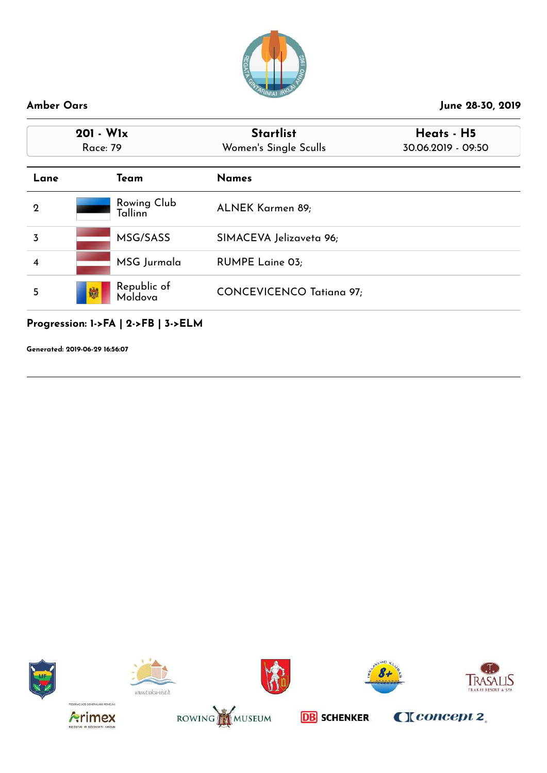

| $201 - W1x$<br><b>Race: 79</b> |                             | <b>Startlist</b><br>Women's Single Sculls | Heats - H5<br>30.06.2019 - 09:50 |
|--------------------------------|-----------------------------|-------------------------------------------|----------------------------------|
| Lane                           | Team                        | <b>Names</b>                              |                                  |
| $\mathbf 2$                    | Rowing Club<br>Tallinn      | ALNEK Karmen 89;                          |                                  |
| 3                              | MSG/SASS                    | SIMACEVA Jelizaveta 96;                   |                                  |
| 4                              | MSG Jurmala                 | <b>RUMPE Laine 03;</b>                    |                                  |
| 5                              | Republic of<br>Moldova<br>镧 | <b>CONCEVICENCO Tatiana 97;</b>           |                                  |

## **Progression: 1->FA | 2->FB | 3->ELM**

**Generated: 2019-06-29 16:56:07**















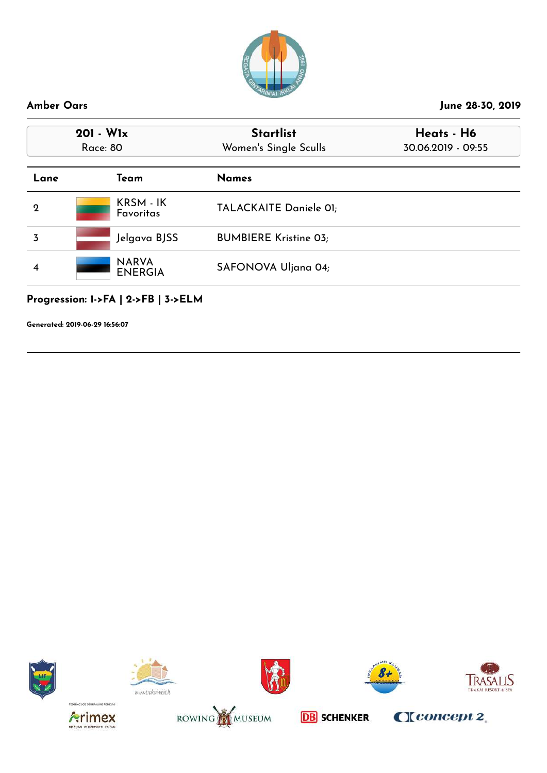

| $201 - W1x$<br><b>Race: 80</b> |                                | <b>Startlist</b><br>Women's Single Sculls | Heats - H6<br>30.06.2019 - 09:55 |
|--------------------------------|--------------------------------|-------------------------------------------|----------------------------------|
| Lane                           | Team                           | <b>Names</b>                              |                                  |
| $\mathbf 2$                    | KRSM - IK<br><b>Favoritas</b>  | TALACKAITE Daniele 01;                    |                                  |
| 3                              | Jelgava BJSS                   | <b>BUMBIERE Kristine 03;</b>              |                                  |
| 4                              | <b>NARVA</b><br><b>ENERGIA</b> | SAFONOVA Uljana 04;                       |                                  |
|                                |                                |                                           |                                  |

## **Progression: 1->FA | 2->FB | 3->ELM**

**Generated: 2019-06-29 16:56:07**















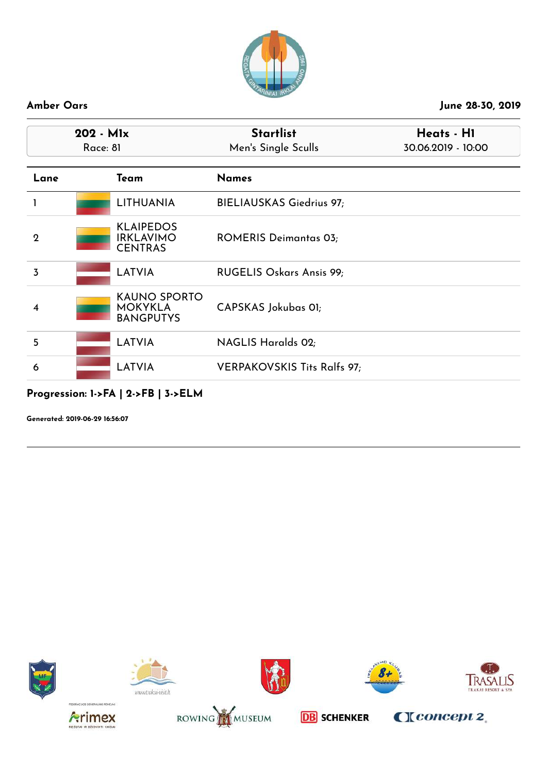

| $202 - M1x$<br>Race: 81 |                                                           | <b>Startlist</b><br>Men's Single Sculls | Heats - H1<br>30.06.2019 - 10:00 |  |
|-------------------------|-----------------------------------------------------------|-----------------------------------------|----------------------------------|--|
| Lane                    | Team                                                      | <b>Names</b>                            |                                  |  |
|                         | <b>LITHUANIA</b>                                          | <b>BIELIAUSKAS Giedrius 97;</b>         |                                  |  |
| $\mathbf{2}$            | <b>KLAIPEDOS</b><br><b>IRKLAVIMO</b><br><b>CENTRAS</b>    | <b>ROMERIS Deimantas 03;</b>            |                                  |  |
| 3                       | LATVIA                                                    | RUGELIS Oskars Ansis 99;                |                                  |  |
| 4                       | <b>KAUNO SPORTO</b><br><b>MOKYKLA</b><br><b>BANGPUTYS</b> | CAPSKAS Jokubas OI;                     |                                  |  |
| 5                       | <b>LATVIA</b>                                             | <b>NAGLIS Haralds 02;</b>               |                                  |  |
| 6                       | <b>LATVIA</b>                                             | <b>VERPAKOVSKIS Tits Ralfs 97;</b>      |                                  |  |

## **Progression: 1->FA | 2->FB | 3->ELM**















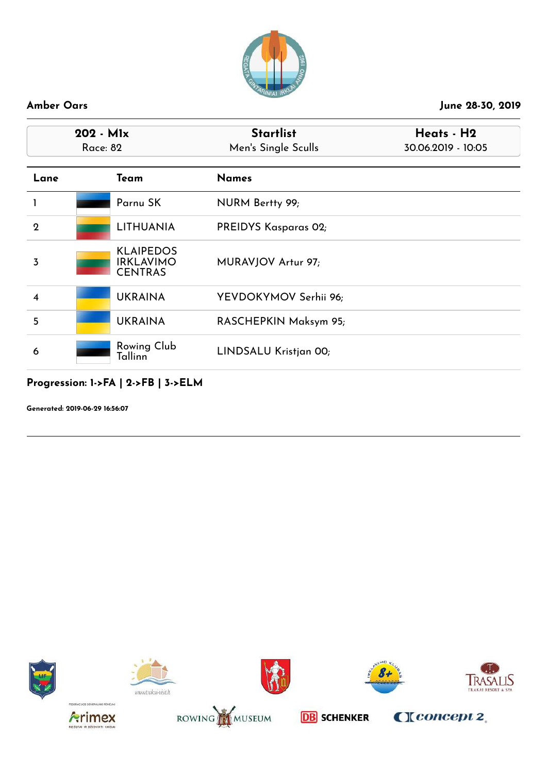

| 202 - Mlx<br>Race: 82 |  |                                                        | <b>Startlist</b><br>Men's Single Sculls | Heats - H2<br>30.06.2019 - 10:05 |
|-----------------------|--|--------------------------------------------------------|-----------------------------------------|----------------------------------|
| Lane                  |  | Team                                                   | <b>Names</b>                            |                                  |
|                       |  | Parnu SK                                               | NURM Bertty 99;                         |                                  |
| $\mathbf 2$           |  | <b>LITHUANIA</b>                                       | PREIDYS Kasparas 02;                    |                                  |
| $\overline{3}$        |  | <b>KLAIPEDOS</b><br><b>IRKLAVIMO</b><br><b>CENTRAS</b> | MURAVJOV Artur 97;                      |                                  |
| $\overline{\bf{4}}$   |  | <b>UKRAINA</b>                                         | YEVDOKYMOV Serhii 96;                   |                                  |
| 5                     |  | <b>UKRAINA</b>                                         | RASCHEPKIN Maksym 95;                   |                                  |
| 6                     |  | Rowing Club<br>Tallinn                                 | LINDSALU Kristjan 00;                   |                                  |

## **Progression: 1->FA | 2->FB | 3->ELM**

**Generated: 2019-06-29 16:56:07**















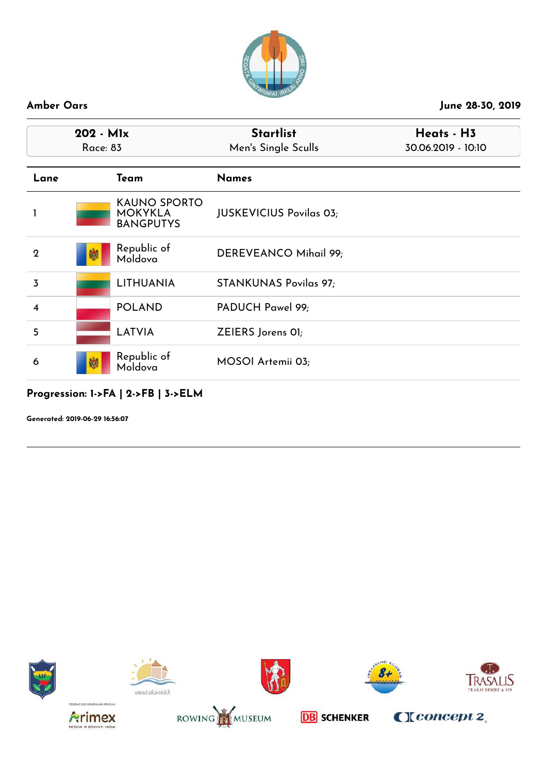

| $202 - M1x$<br>Race: 83 |                                                           | <b>Startlist</b><br>Men's Single Sculls | Heats - H3<br>30.06.2019 - 10:10 |  |
|-------------------------|-----------------------------------------------------------|-----------------------------------------|----------------------------------|--|
| Lane                    | Team                                                      | <b>Names</b>                            |                                  |  |
|                         | <b>KAUNO SPORTO</b><br><b>MOKYKLA</b><br><b>BANGPUTYS</b> | <b>JUSKEVICIUS Povilas 03;</b>          |                                  |  |
| $\mathbf 2$             | Republic of<br>鯻<br>Moldova                               | DEREVEANCO Mihail 99;                   |                                  |  |
| 3                       | <b>LITHUANIA</b>                                          | <b>STANKUNAS Povilas 97;</b>            |                                  |  |
| 4                       | <b>POLAND</b>                                             | PADUCH Pawel 99;                        |                                  |  |
| 5                       | LATVIA                                                    | ZEIERS Jorens OI;                       |                                  |  |
| 6                       | Republic of<br>孄<br>Moldova                               | MOSOI Artemii 03;                       |                                  |  |

### **Progression: 1->FA | 2->FB | 3->ELM**















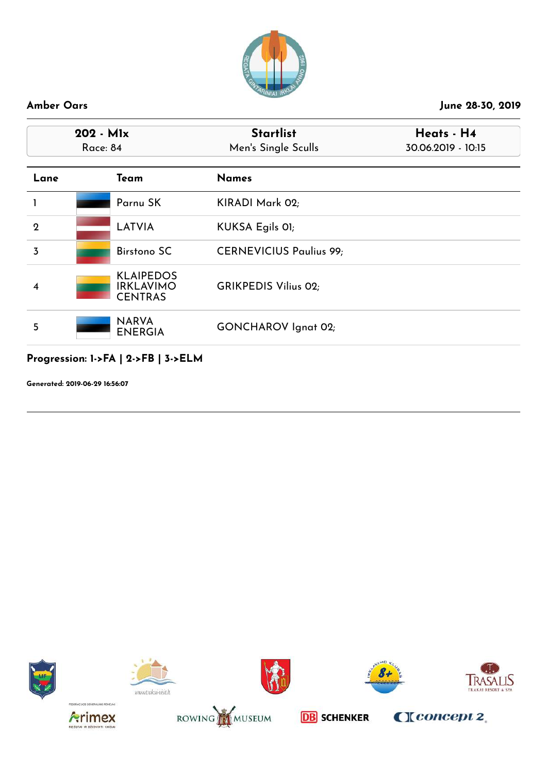

| 202 - Mlx<br><b>Race: 84</b> |  |                                                        | <b>Startlist</b><br>Men's Single Sculls | Heats - H4<br>30.06.2019 - 10:15 |
|------------------------------|--|--------------------------------------------------------|-----------------------------------------|----------------------------------|
| Lane                         |  | Team                                                   | <b>Names</b>                            |                                  |
| 1                            |  | Parnu SK                                               | KIRADI Mark 02;                         |                                  |
| $\mathbf{2}$                 |  | <b>LATVIA</b>                                          | KUKSA Egils 01;                         |                                  |
| 3                            |  | <b>Birstono SC</b>                                     | <b>CERNEVICIUS Paulius 99;</b>          |                                  |
| 4                            |  | <b>KLAIPEDOS</b><br><b>IRKLAVIMO</b><br><b>CENTRAS</b> | <b>GRIKPEDIS Vilius 02;</b>             |                                  |
| 5                            |  | <b>NARVA</b><br><b>ENERGIA</b>                         | <b>GONCHAROV</b> Ignat 02;              |                                  |

## **Progression: 1->FA | 2->FB | 3->ELM**

**Generated: 2019-06-29 16:56:07**















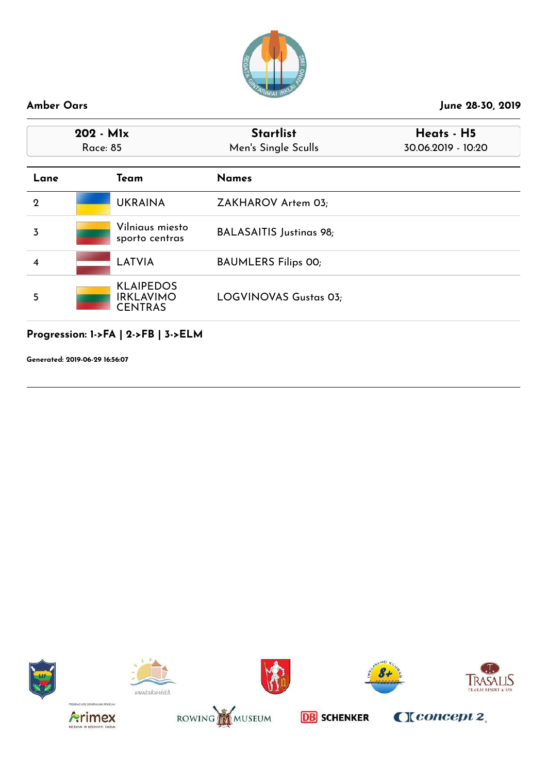

| $202 - M1x$<br><b>Race: 85</b> |                                                        | <b>Startlist</b><br>Men's Single Sculls | Heats - H5<br>30.06.2019 - 10:20 |  |
|--------------------------------|--------------------------------------------------------|-----------------------------------------|----------------------------------|--|
| Lane                           | Team                                                   | <b>Names</b>                            |                                  |  |
| $\mathbf 2$                    | <b>UKRAINA</b>                                         | ZAKHAROV Artem 03;                      |                                  |  |
| 3                              | Vilniaus miesto<br>sporto centras                      | <b>BALASAITIS Justinas 98;</b>          |                                  |  |
| 4                              | <b>LATVIA</b>                                          | <b>BAUMLERS Filips 00;</b>              |                                  |  |
| 5                              | <b>KLAIPEDOS</b><br><b>IRKLAVIMO</b><br><b>CENTRAS</b> | LOGVINOVAS Gustas 03;                   |                                  |  |

## **Progression: 1->FA | 2->FB | 3->ELM**

**Generated: 2019-06-29 16:56:07**















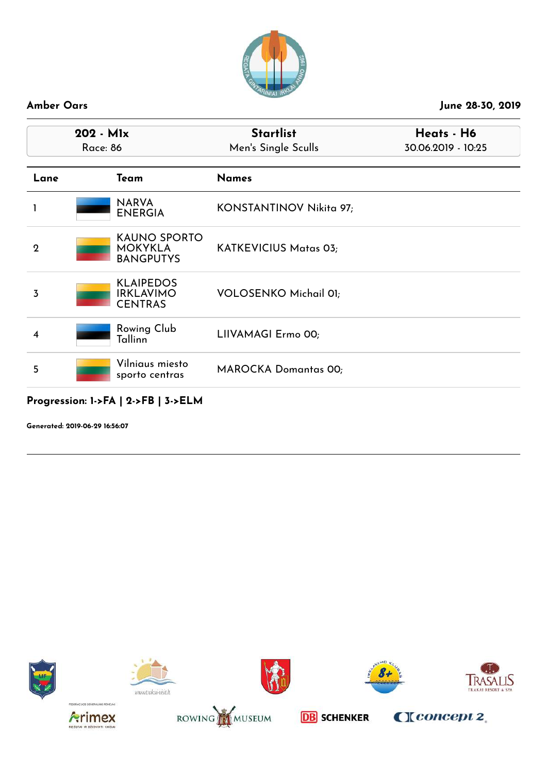

| 202 - Mlx<br><b>Race: 86</b> |                                                           | <b>Startlist</b><br>Men's Single Sculls | Heats - H6<br>30.06.2019 - 10:25 |
|------------------------------|-----------------------------------------------------------|-----------------------------------------|----------------------------------|
| Lane                         | Team                                                      | <b>Names</b>                            |                                  |
|                              | <b>NARVA</b><br><b>ENERGIA</b>                            | KONSTANTINOV Nikita 97;                 |                                  |
| $\boldsymbol{2}$             | <b>KAUNO SPORTO</b><br><b>MOKYKLA</b><br><b>BANGPUTYS</b> | KATKEVICIUS Matas 03;                   |                                  |
| 3                            | <b>KLAIPEDOS</b><br><b>IRKLAVIMO</b><br><b>CENTRAS</b>    | <b>VOLOSENKO Michail 01;</b>            |                                  |
| 4                            | Rowing Club<br>Tallinn                                    | LIIVAMAGI Ermo 00;                      |                                  |
| 5                            | Vilniaus miesto<br>sporto centras                         | <b>MAROCKA Domantas 00;</b>             |                                  |

### **Progression: 1->FA | 2->FB | 3->ELM**















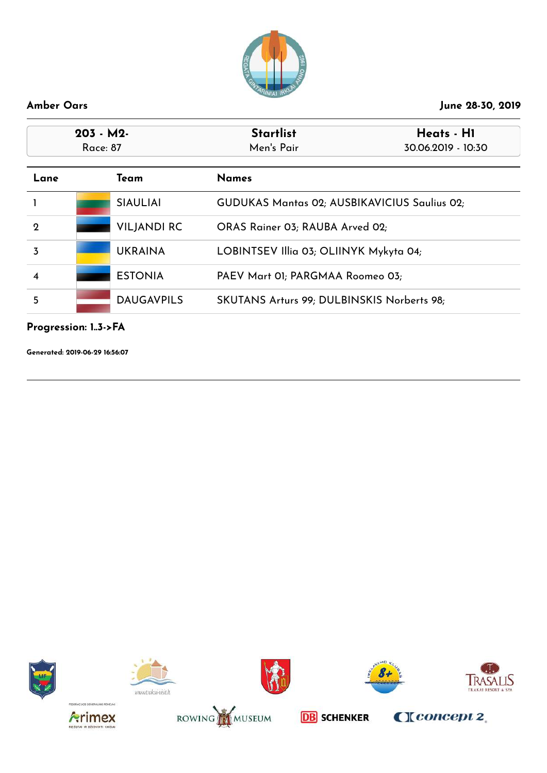

| $203 - M2$<br>Race: 87 |                    | <b>Startlist</b><br>Heats - H1<br>Men's Pair<br>30.06.2019 - 10:30 |  |
|------------------------|--------------------|--------------------------------------------------------------------|--|
| Lane                   | Team               | <b>Names</b>                                                       |  |
|                        | <b>SIAULIAI</b>    | <b>GUDUKAS Mantas 02; AUSBIKAVICIUS Saulius 02;</b>                |  |
| $\mathbf 2$            | <b>VILJANDI RC</b> | ORAS Rainer 03; RAUBA Arved 02;                                    |  |
| 3                      | <b>UKRAINA</b>     | LOBINTSEV Illia 03; OLIINYK Mykyta 04;                             |  |
| 4                      | <b>ESTONIA</b>     | PAEV Mart 01; PARGMAA Roomeo 03;                                   |  |
| 5                      | <b>DAUGAVPILS</b>  | SKUTANS Arturs 99; DULBINSKIS Norberts 98;                         |  |

### **Progression: 1..3->FA**

**Generated: 2019-06-29 16:56:07**















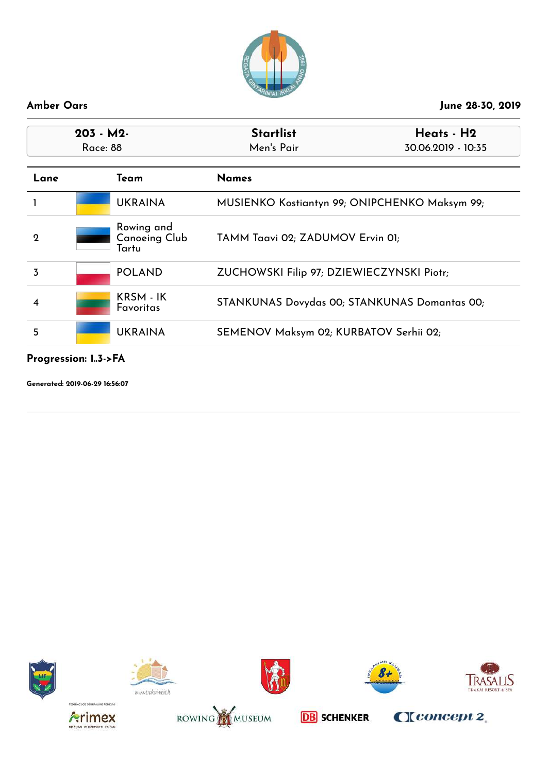

| $203 - M2$<br>Race: 88 |                                             | <b>Startlist</b><br>Men's Pair                | Heats - H2<br>30.06.2019 - 10:35 |
|------------------------|---------------------------------------------|-----------------------------------------------|----------------------------------|
| Lane                   | Team                                        | <b>Names</b>                                  |                                  |
|                        | <b>UKRAINA</b>                              | MUSIENKO Kostiantyn 99; ONIPCHENKO Maksym 99; |                                  |
| $\mathbf 2$            | Rowing and<br><b>Canoeing Club</b><br>Tartu | TAMM Taavi 02; ZADUMOV Ervin 01;              |                                  |
| 3                      | <b>POLAND</b>                               | ZUCHOWSKI Filip 97; DZIEWIECZYNSKI Piotr;     |                                  |
| 4                      | KRSM - IK<br>Favoritas                      | STANKUNAS Dovydas 00; STANKUNAS Domantas 00;  |                                  |
| 5                      | <b>UKRAINA</b>                              | SEMENOV Maksym 02; KURBATOV Serhii 02;        |                                  |

### **Progression: 1..3->FA**

**Generated: 2019-06-29 16:56:07**















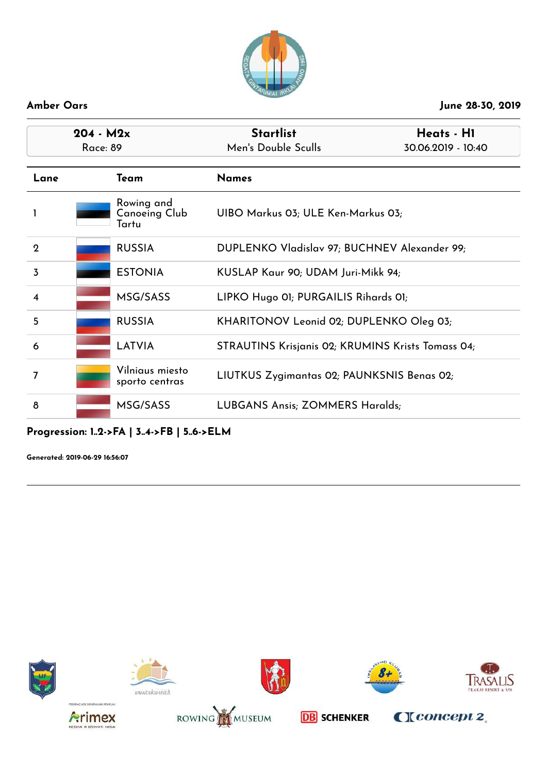

| $204 - M2x$<br>Race: 89 |                                      | <b>Startlist</b><br>Heats - H1<br>Men's Double Sculls<br>30.06.2019 - 10:40 |  |
|-------------------------|--------------------------------------|-----------------------------------------------------------------------------|--|
| Lane                    | Team                                 | <b>Names</b>                                                                |  |
|                         | Rowing and<br>Canoeing Club<br>Tartu | UIBO Markus 03; ULE Ken-Markus 03;                                          |  |
| $\mathbf{2}$            | <b>RUSSIA</b>                        | DUPLENKO Vladislav 97; BUCHNEV Alexander 99;                                |  |
| $\overline{3}$          | <b>ESTONIA</b>                       | KUSLAP Kaur 90; UDAM Juri-Mikk 94;                                          |  |
| $\overline{4}$          | MSG/SASS                             | LIPKO Hugo 01; PURGAILIS Rihards 01;                                        |  |
| 5                       | <b>RUSSIA</b>                        | KHARITONOV Leonid 02; DUPLENKO Oleg 03;                                     |  |
| 6                       | LATVIA                               | STRAUTINS Krisjanis 02; KRUMINS Krists Tomass 04;                           |  |
| 7                       | Vilniaus miesto<br>sporto centras    | LIUTKUS Zygimantas 02; PAUNKSNIS Benas 02;                                  |  |
| 8                       | MSG/SASS                             | <b>LUBGANS Ansis; ZOMMERS Haralds;</b>                                      |  |

**Progression: 1..2->FA | 3..4->FB | 5..6->ELM**

**Generated: 2019-06-29 16:56:07**















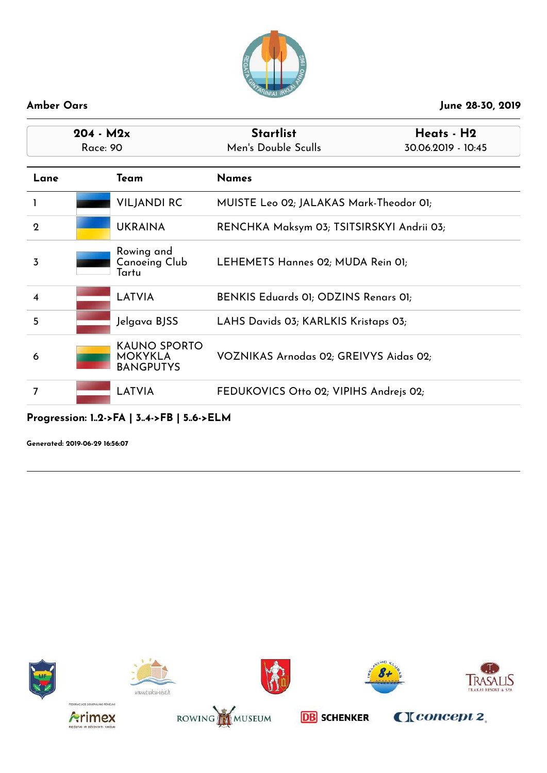

| $204 - M2x$<br><b>Race: 90</b> |                                                           | <b>Startlist</b><br>Heats - H2<br>Men's Double Sculls<br>30.06.2019 - 10:45 |                                           |  |
|--------------------------------|-----------------------------------------------------------|-----------------------------------------------------------------------------|-------------------------------------------|--|
| Lane                           | Team                                                      | <b>Names</b>                                                                |                                           |  |
|                                | <b>VILJANDI RC</b>                                        | MUISTE Leo 02; JALAKAS Mark-Theodor 01;                                     |                                           |  |
| $\mathbf{2}$                   | <b>UKRAINA</b>                                            |                                                                             | RENCHKA Maksym 03; TSITSIRSKYI Andrii 03; |  |
| 3                              | Rowing and<br>Canoeing Club<br>Tartu                      | LEHEMETS Hannes 02; MUDA Rein 01;                                           |                                           |  |
| $\overline{\mathbf{4}}$        | <b>LATVIA</b>                                             | BENKIS Eduards 01; ODZINS Renars 01;                                        |                                           |  |
| 5                              | Jelgava BJSS                                              | LAHS Davids 03; KARLKIS Kristaps 03;                                        |                                           |  |
| 6                              | <b>KAUNO SPORTO</b><br><b>MOKYKLA</b><br><b>BANGPUTYS</b> | VOZNIKAS Arnodas 02; GREIVYS Aidas 02;                                      |                                           |  |
| 7                              | <b>LATVIA</b>                                             | FEDUKOVICS Otto 02; VIPIHS Andrejs 02;                                      |                                           |  |

## **Progression: 1..2->FA | 3..4->FB | 5..6->ELM**

**Generated: 2019-06-29 16:56:07**















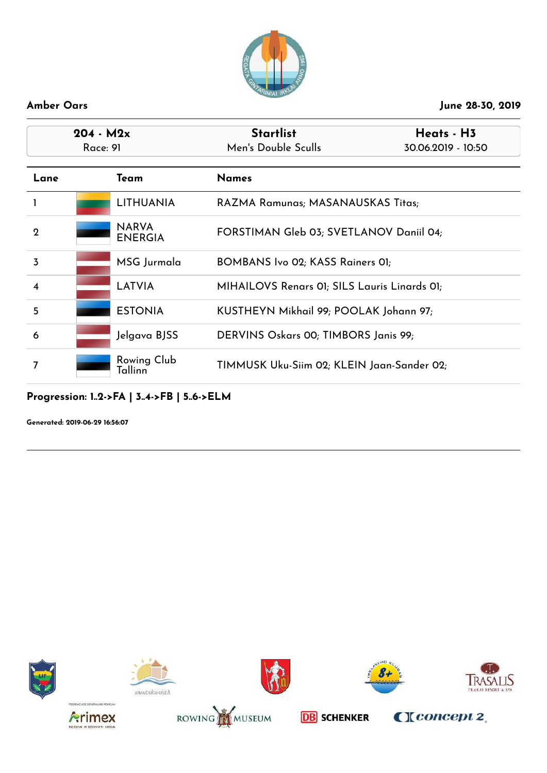

| $204 - M2x$<br>Race: 91 |                                | <b>Startlist</b><br>Heats - H3<br>Men's Double Sculls<br>30.06.2019 - 10:50 |  |
|-------------------------|--------------------------------|-----------------------------------------------------------------------------|--|
| Lane                    | Team                           | <b>Names</b>                                                                |  |
|                         | <b>LITHUANIA</b>               | RAZMA Ramunas; MASANAUSKAS Titas;                                           |  |
| $\mathbf 2$             | <b>NARVA</b><br><b>ENERGIA</b> | FORSTIMAN Gleb 03; SVETLANOV Daniil 04;                                     |  |
| 3                       | MSG Jurmala                    | BOMBANS Ivo 02; KASS Rainers 01;                                            |  |
| $\overline{\mathbf{4}}$ | LATVIA                         | MIHAILOVS Renars 01; SILS Lauris Linards 01;                                |  |
| 5                       | <b>ESTONIA</b>                 | KUSTHEYN Mikhail 99; POOLAK Johann 97;                                      |  |
| 6                       | Jelgava BJSS                   | DERVINS Oskars 00; TIMBORS Janis 99;                                        |  |
| 7                       | Rowing Club<br>Tallinn         | TIMMUSK Uku-Siim 02; KLEIN Jaan-Sander 02;                                  |  |

## **Progression: 1..2->FA | 3..4->FB | 5..6->ELM**

**Generated: 2019-06-29 16:56:07**















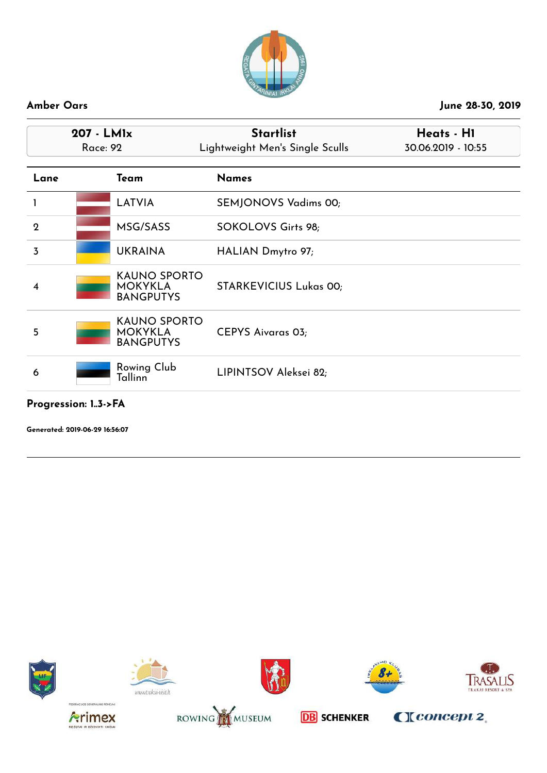

|              | 207 - LMIx<br><b>Race: 92</b>      | <b>Startlist</b><br>Lightweight Men's Single Sculls  | Heats - H1<br>30.06.2019 - 10:55 |  |
|--------------|------------------------------------|------------------------------------------------------|----------------------------------|--|
| Lane         | Team                               | <b>Names</b>                                         |                                  |  |
|              | LATVIA                             | SEMJONOVS Vadims 00;                                 |                                  |  |
| $\mathbf{2}$ | MSG/SASS                           | SOKOLOVS Girts 98;                                   |                                  |  |
| 3            | <b>UKRAINA</b>                     | HALIAN Dmytro 97;                                    |                                  |  |
| 4            | <b>MOKYKLA</b><br><b>BANGPUTYS</b> | <b>KAUNO SPORTO</b><br><b>STARKEVICIUS Lukas 00;</b> |                                  |  |
| 5            | <b>MOKYKLA</b><br><b>BANGPUTYS</b> | <b>KAUNO SPORTO</b><br><b>CEPYS Aivaras 03;</b>      |                                  |  |
| 6            | Rowing Club<br>Tallinn             | LIPINTSOV Aleksei 82;                                |                                  |  |

### **Progression: 1..3->FA**















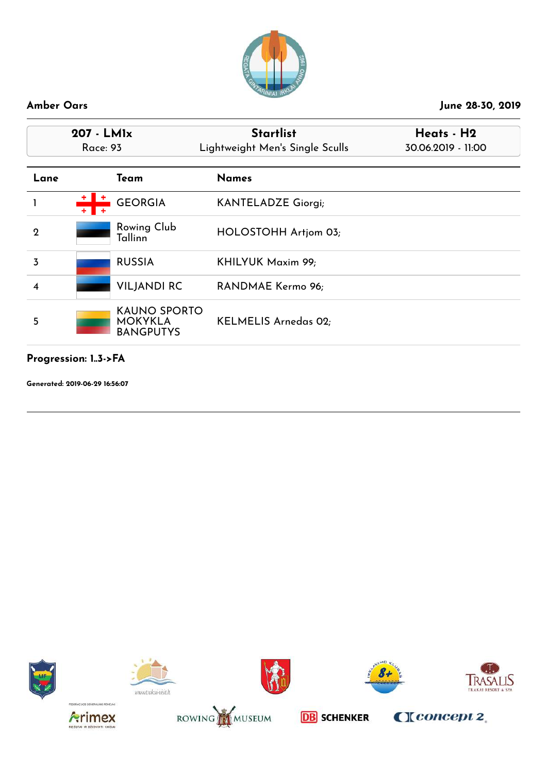

| 207 - LMIx<br>Race: 93 |                                                           | <b>Startlist</b><br>Lightweight Men's Single Sculls | Heats - H2<br>30.06.2019 - 11:00 |
|------------------------|-----------------------------------------------------------|-----------------------------------------------------|----------------------------------|
| Lane                   | Team                                                      | <b>Names</b>                                        |                                  |
|                        | <b>GEORGIA</b>                                            | <b>KANTELADZE Giorgi;</b>                           |                                  |
| $\mathbf{2}$           | Rowing Club<br>Tallinn                                    | HOLOSTOHH Artjom 03;                                |                                  |
| 3                      | <b>RUSSIA</b>                                             | KHILYUK Maxim 99;                                   |                                  |
| 4                      | <b>VILJANDI RC</b>                                        | RANDMAE Kermo 96;                                   |                                  |
| 5                      | <b>KAUNO SPORTO</b><br><b>MOKYKLA</b><br><b>BANGPUTYS</b> | <b>KELMELIS Arnedas 02;</b>                         |                                  |

**Progression: 1..3->FA**

**Generated: 2019-06-29 16:56:07**















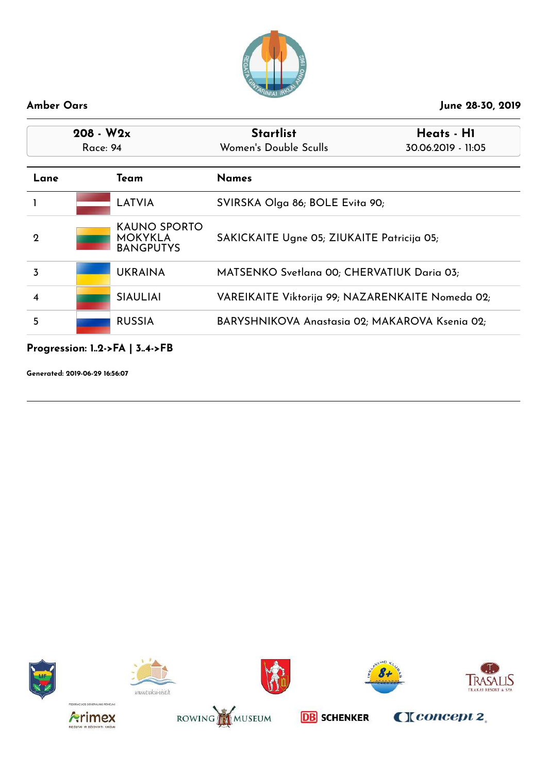

| $208 - W2x$<br>Race: 94 |                                                           | <b>Startlist</b><br>Women's Double Sculls        | Heats - H1<br>30.06.2019 - 11:05 |
|-------------------------|-----------------------------------------------------------|--------------------------------------------------|----------------------------------|
| Lane                    | Team                                                      | <b>Names</b>                                     |                                  |
|                         | LATVIA                                                    | SVIRSKA Olga 86; BOLE Evita 90;                  |                                  |
| $\mathbf 2$             | <b>KAUNO SPORTO</b><br><b>MOKYKLA</b><br><b>BANGPUTYS</b> | SAKICKAITE Ugne 05; ZIUKAITE Patricija 05;       |                                  |
| 3                       | <b>UKRAINA</b>                                            | MATSENKO Svetlana 00; CHERVATIUK Daria 03;       |                                  |
| 4                       | <b>SIAULIAI</b>                                           | VAREIKAITE Viktorija 99; NAZARENKAITE Nomeda 02; |                                  |
| 5                       | <b>RUSSIA</b>                                             | BARYSHNIKOVA Anastasia 02; MAKAROVA Ksenia 02;   |                                  |

## **Progression: 1..2->FA | 3..4->FB**

**Generated: 2019-06-29 16:56:07**















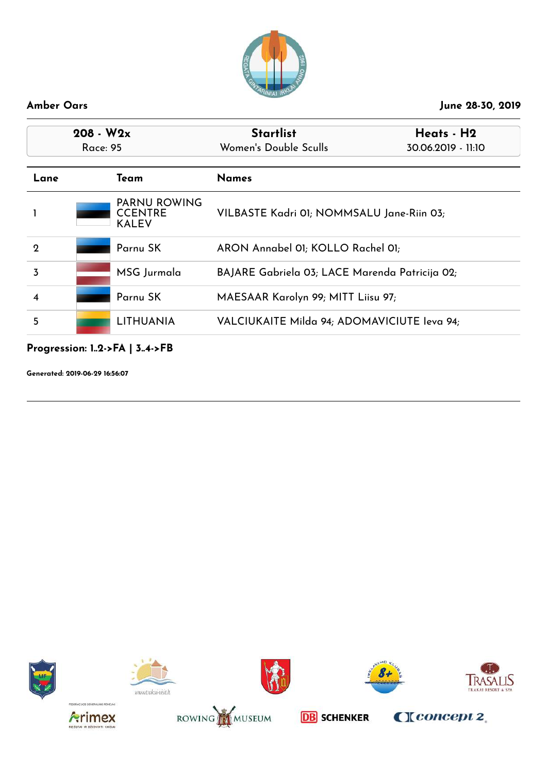

| $208 - W2x$<br>Race: 95 |                                                       | <b>Startlist</b><br>Women's Double Sculls      | Heats - H2<br>30.06.2019 - 11:10 |
|-------------------------|-------------------------------------------------------|------------------------------------------------|----------------------------------|
| Lane                    | Team                                                  | <b>Names</b>                                   |                                  |
|                         | <b>PARNU ROWING</b><br><b>CCENTRE</b><br><b>KALEV</b> | VILBASTE Kadri 01; NOMMSALU Jane-Riin 03;      |                                  |
| $\mathbf 2$             | Parnu SK                                              | ARON Annabel 01; KOLLO Rachel 01;              |                                  |
| 3                       | MSG Jurmala                                           | BAJARE Gabriela 03; LACE Marenda Patricija 02; |                                  |
| 4                       | Parnu SK                                              | MAESAAR Karolyn 99; MITT Liisu 97;             |                                  |
| 5                       | <b>LITHUANIA</b>                                      | VALCIUKAITE Milda 94; ADOMAVICIUTE leva 94;    |                                  |

## **Progression: 1..2->FA | 3..4->FB**

**Generated: 2019-06-29 16:56:07**















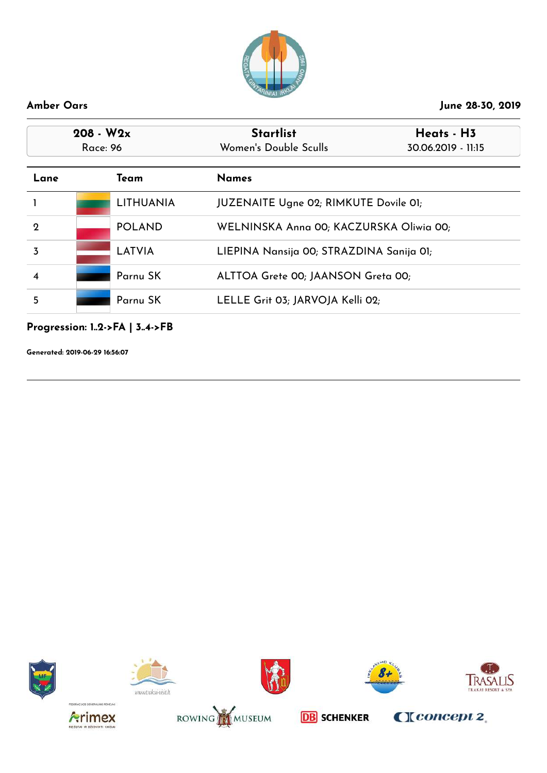

| Women's Double Sculls<br>30.06.2019 - 11:15  |  |
|----------------------------------------------|--|
| <b>Names</b>                                 |  |
| <b>JUZENAITE Ugne 02; RIMKUTE Dovile 01;</b> |  |
| WELNINSKA Anna 00; KACZURSKA Oliwia 00;      |  |
| LIEPINA Nansija 00; STRAZDINA Sanija 01;     |  |
| ALTTOA Grete 00; JAANSON Greta 00;           |  |
| LELLE Grit 03; JARVOJA Kelli 02;             |  |
|                                              |  |

## **Progression: 1..2->FA | 3..4->FB**

**Generated: 2019-06-29 16:56:07**















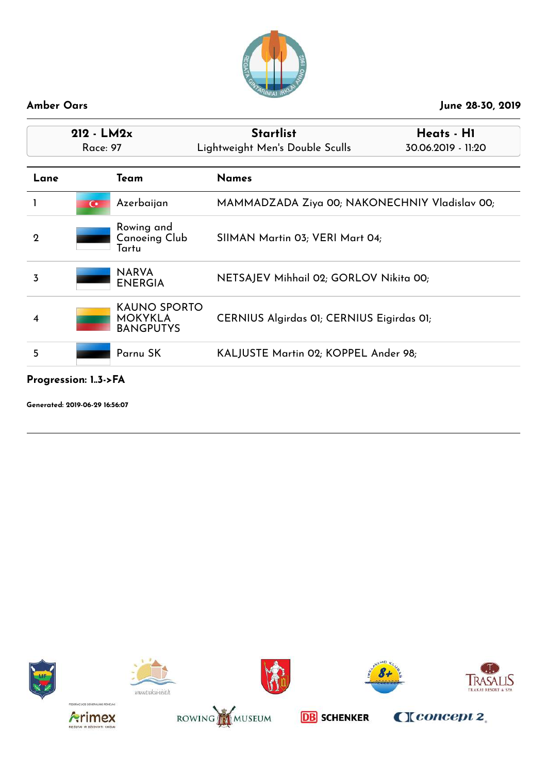

| $212 - LM2x$<br><b>Race: 97</b> |                                                           | <b>Startlist</b><br>Lightweight Men's Double Sculls | Heats - H1<br>30.06.2019 - 11:20 |
|---------------------------------|-----------------------------------------------------------|-----------------------------------------------------|----------------------------------|
| Lane                            | Team                                                      | <b>Names</b>                                        |                                  |
|                                 | Azerbaijan<br>$\mathbf{\cdot}$                            | MAMMADZADA Ziya 00; NAKONECHNIY Vladislav 00;       |                                  |
| $\mathbf 2$                     | Rowing and<br><b>Canoeing Club</b><br>Tartu               | SIIMAN Martin 03; VERI Mart 04;                     |                                  |
| 3                               | <b>NARVA</b><br><b>ENERGIA</b>                            | NETSAJEV Mihhail 02; GORLOV Nikita 00;              |                                  |
| 4                               | <b>KAUNO SPORTO</b><br><b>MOKYKLA</b><br><b>BANGPUTYS</b> | CERNIUS Algirdas 01; CERNIUS Eigirdas 01;           |                                  |
| 5                               | Parnu SK                                                  | KALJUSTE Martin 02; KOPPEL Ander 98;                |                                  |

**Progression: 1..3->FA**

**Generated: 2019-06-29 16:56:07**















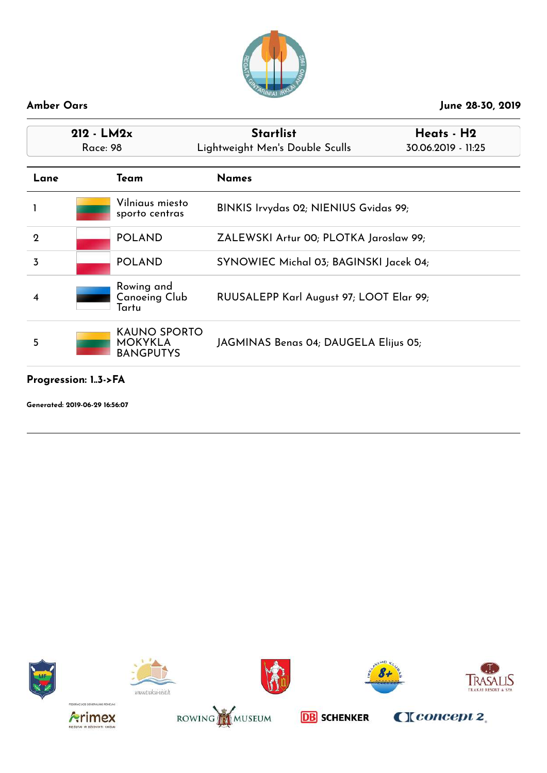

| $212 - LM2x$<br>Race: 98 |  |                                                           | <b>Startlist</b><br>Lightweight Men's Double Sculls | Heats - H2<br>30.06.2019 - 11:25 |
|--------------------------|--|-----------------------------------------------------------|-----------------------------------------------------|----------------------------------|
| Lane                     |  | Team                                                      | <b>Names</b>                                        |                                  |
|                          |  | Vilniaus miesto<br>sporto centras                         | BINKIS Irvydas 02; NIENIUS Gvidas 99;               |                                  |
| $\mathbf{2}$             |  | <b>POLAND</b>                                             | ZALEWSKI Artur 00; PLOTKA Jaroslaw 99;              |                                  |
| 3                        |  | <b>POLAND</b>                                             | SYNOWIEC Michal 03; BAGINSKI Jacek 04;              |                                  |
| 4                        |  | Rowing and<br><b>Canoeing Club</b><br>Tartu               | RUUSALEPP Karl August 97; LOOT Elar 99;             |                                  |
| 5                        |  | <b>KAUNO SPORTO</b><br><b>MOKYKLA</b><br><b>BANGPUTYS</b> | JAGMINAS Benas 04; DAUGELA Elijus 05;               |                                  |

### **Progression: 1..3->FA**

**Generated: 2019-06-29 16:56:07**















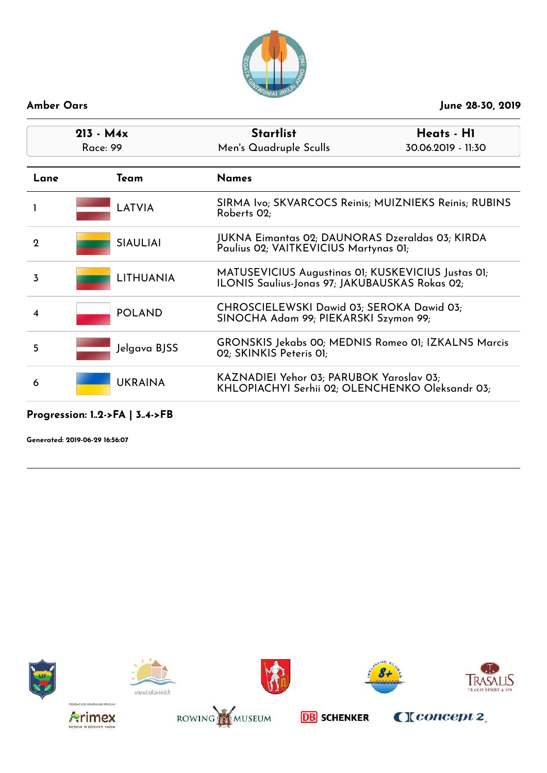

| $213 - M4x$<br>Race: 99 | <b>Startlist</b><br>Men's Quadruple Sculls                                                                  | Heats - H1<br>30.06.2019 - 11:30 |
|-------------------------|-------------------------------------------------------------------------------------------------------------|----------------------------------|
| Team                    | <b>Names</b>                                                                                                |                                  |
| <b>LATVIA</b>           | SIRMA Ivo; SKVARCOCS Reinis; MUIZNIEKS Reinis; RUBINS<br>Roberts 02;                                        |                                  |
| <b>SIAULIAI</b>         | JUKNA Eimantas 02; DAUNORAS Dzeraldas 03; KIRDA<br>Paulius 02; VAITKEVICIUS Martynas 01;                    |                                  |
| <b>LITHUANIA</b>        | MATUSEVICIUS Augustinas 01; KUSKEVICIUS Justas 01;<br><b>ILONIS Saulius-Jonas 97; JAKUBAUSKAS Rokas 02;</b> |                                  |
| <b>POLAND</b>           | CHROSCIELEWSKI Dawid 03; SEROKA Dawid 03;<br>SINOCHA Adam 99; PIEKARSKI Szymon 99;                          |                                  |
| Jelgava BJSS            | GRONSKIS Jekabs 00; MEDNIS Romeo 01; IZKALNS Marcis<br>02; SKINKIS Peteris 01;                              |                                  |
| <b>UKRAINA</b>          | KAZNADIEI Yehor 03; PARUBOK Yaroslav 03;<br>KHLOPIACHYI Serhii 02; OLENCHENKO Oleksandr 03;                 |                                  |
|                         |                                                                                                             |                                  |

### **Progression: 1..2->FA | 3..4->FB**















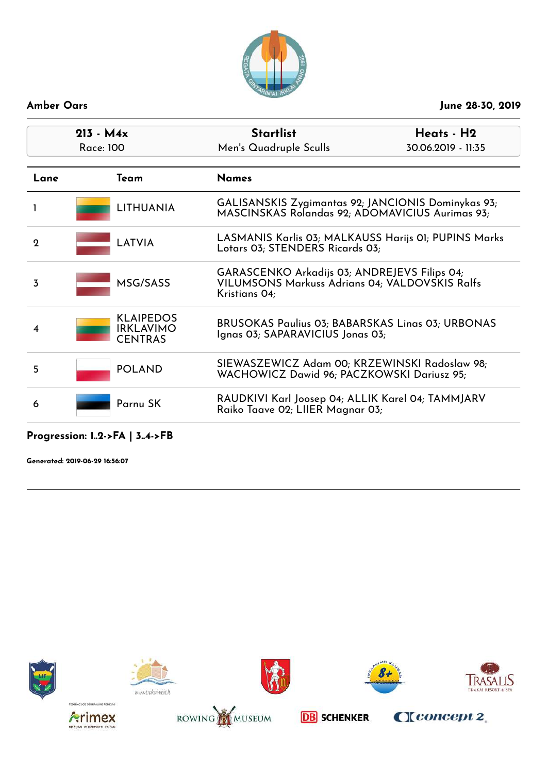

| $213 - M4x$<br>Race: 100                               | <b>Startlist</b><br>Heats - H2<br>Men's Quadruple Sculls<br>30.06.2019 - 11:35                                  |  |
|--------------------------------------------------------|-----------------------------------------------------------------------------------------------------------------|--|
| Team                                                   | <b>Names</b>                                                                                                    |  |
| <b>LITHUANIA</b>                                       | GALISANSKIS Zygimantas 92; JANCIONIS Dominykas 93;<br>MASCINSKAS Rolandas 92; ADOMAVICIUS Aurimas 93;           |  |
| LATVIA                                                 | LASMANIS Karlis 03; MALKAUSS Harijs 01; PUPINS Marks<br>Lotars 03; STENDERS Ricards 03;                         |  |
| MSG/SASS                                               | GARASCENKO Arkadijs 03; ANDREJEVS Filips 04;<br>VILUMSONS Markuss Adrians 04; VALDOVSKIS Ralfs<br>Kristians 04; |  |
| <b>KLAIPEDOS</b><br><b>IRKLAVIMO</b><br><b>CENTRAS</b> | <b>BRUSOKAS Paulius 03; BABARSKAS Linas 03; URBONAS</b><br>Ignas 03; SAPARAVICIUS Jonas 03;                     |  |
| <b>POLAND</b>                                          | SIEWASZEWICZ Adam 00; KRZEWINSKI Radoslaw 98;<br>WACHOWICZ Dawid 96; PACZKOWSKI Dariusz 95;                     |  |
| Parnu SK                                               | RAUDKIVI Karl Joosep 04; ALLIK Karel 04; TAMMJARV<br>Raiko Taave 02; LIIER Magnar 03;                           |  |
|                                                        |                                                                                                                 |  |

**Progression: 1..2->FA | 3..4->FB**















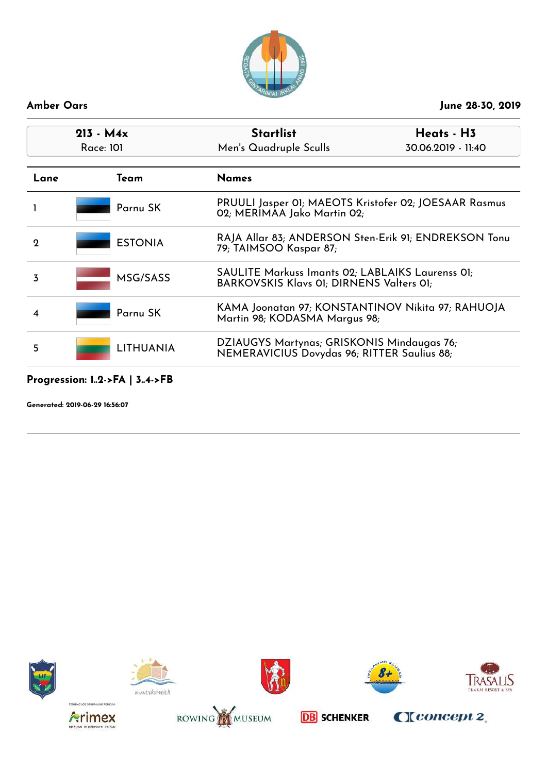

## **213 - M4x Startlist Heats - H3** Race: 101 Men's Quadruple Sculls 30.06.2019 - 11:40 **Lane Team Names** 1 **Parnu SK** PRUULI Jasper 01; MAEOTS Kristofer 02; JOESAAR Rasmus 02; MERIMAA Jako Martin 02; 2 **ESTONIA** RAJA Allar 83; ANDERSON Sten-Erik 91; ENDREKSON Tonu 79; TAIMSOO Kaspar 87; 3 MSG/SASS SAULITE Markuss Imants 02; LABLAIKS Laurenss 01; BARKOVSKIS Klavs 01; DIRNENS Valters 01; 4 **Parnu SK** KAMA Joonatan 97; KONSTANTINOV Nikita 97; RAHUOJA Martin 98; KODASMA Margus 98; <sup>5</sup> LITHUANIA DZIAUGYS Martynas; GRISKONIS Mindaugas 76; NEMERAVICIUS Dovydas 96; RITTER Saulius 88;

### **Progression: 1..2->FA | 3..4->FB**

**Generated: 2019-06-29 16:56:07**















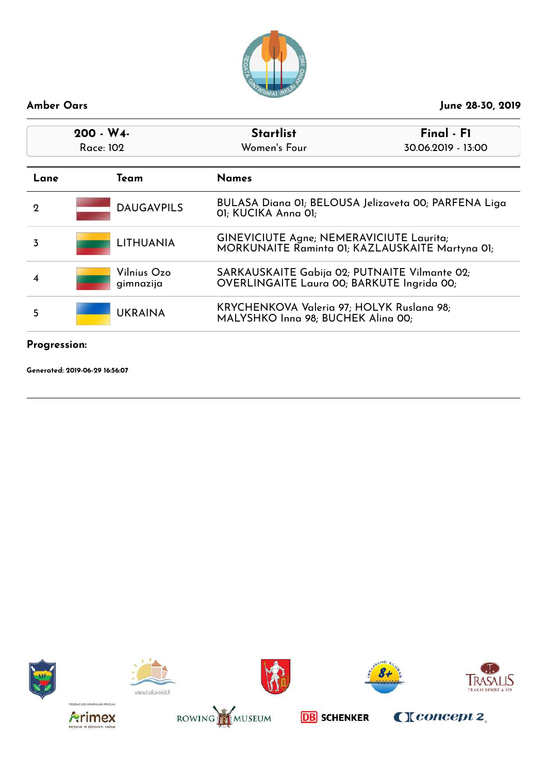

| 200 - W4-<br>Race: 102 |                          | <b>Startlist</b><br>Final - F1<br>Women's Four<br>30.06.2019 - 13:00                               |                                                      |
|------------------------|--------------------------|----------------------------------------------------------------------------------------------------|------------------------------------------------------|
| Lane                   | Team                     | <b>Names</b>                                                                                       |                                                      |
| 2                      | <b>DAUGAVPILS</b>        | 01; KUCIKA Anna 01;                                                                                | BULASA Diana 01; BELOUSA Jelizaveta 00; PARFENA Liga |
| 3                      | <b>LITHUANIA</b>         | <b>GINEVICIUTE Agne; NEMERAVICIUTE Laurita;</b><br>MORKUNAITE Raminta 01; KAZLAUSKAITE Martyna 01; |                                                      |
| 4                      | Vilnius Ozo<br>gimnazija | SARKAUSKAITE Gabija 02; PUTNAITE Vilmante 02;<br>OVERLINGAITE Laura 00; BARKUTE Ingrida 00;        |                                                      |
| 5                      | <b>UKRAINA</b>           | KRYCHENKOVA Valeria 97; HOLYK Ruslana 98;<br>MALYSHKO Inna 98; BUCHEK Alina 00;                    |                                                      |
|                        |                          |                                                                                                    |                                                      |

## **Progression:**

**Generated: 2019-06-29 16:56:07**















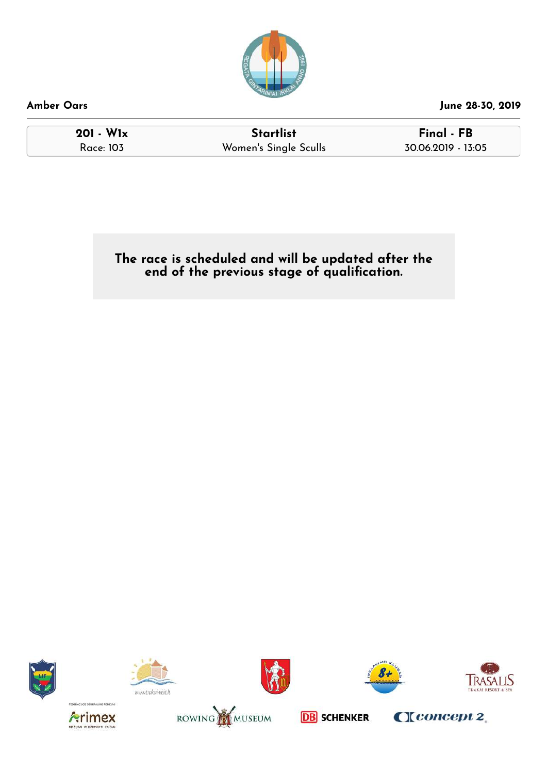

**201 - W1x Startlist Final - FB** Women's Single Sculls 30.06.2019 - 13:05

**The race is scheduled and will be updated after the end of the previous stage of qualication.**

![](_page_28_Picture_6.jpeg)

![](_page_28_Picture_7.jpeg)

![](_page_28_Picture_8.jpeg)

![](_page_28_Picture_9.jpeg)

![](_page_28_Picture_10.jpeg)

![](_page_28_Picture_11.jpeg)

![](_page_28_Picture_12.jpeg)

![](_page_28_Picture_14.jpeg)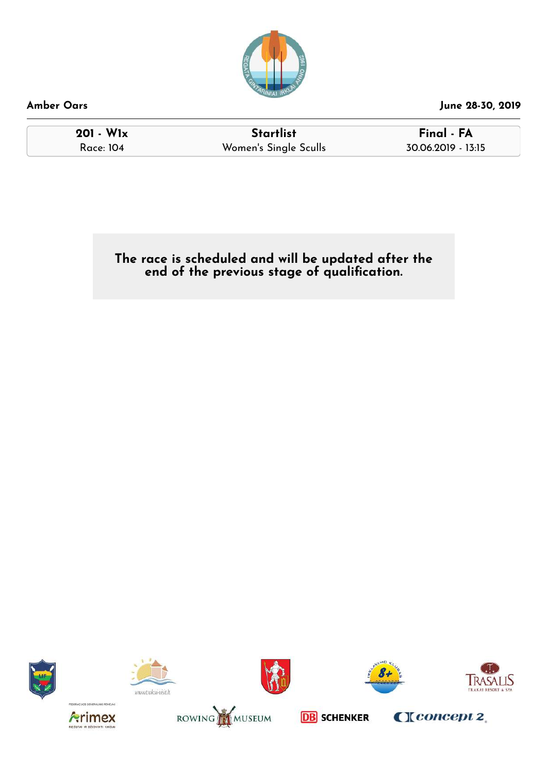![](_page_29_Picture_0.jpeg)

**201 - W1x Startlist Final - FA** Race: 104 Women's Single Sculls 30.06.2019 - 13:15

**The race is scheduled and will be updated after the end of the previous stage of qualication.**

![](_page_29_Picture_7.jpeg)

![](_page_29_Picture_8.jpeg)

![](_page_29_Picture_9.jpeg)

![](_page_29_Picture_10.jpeg)

![](_page_29_Picture_11.jpeg)

![](_page_29_Picture_12.jpeg)

![](_page_29_Picture_13.jpeg)

![](_page_29_Picture_15.jpeg)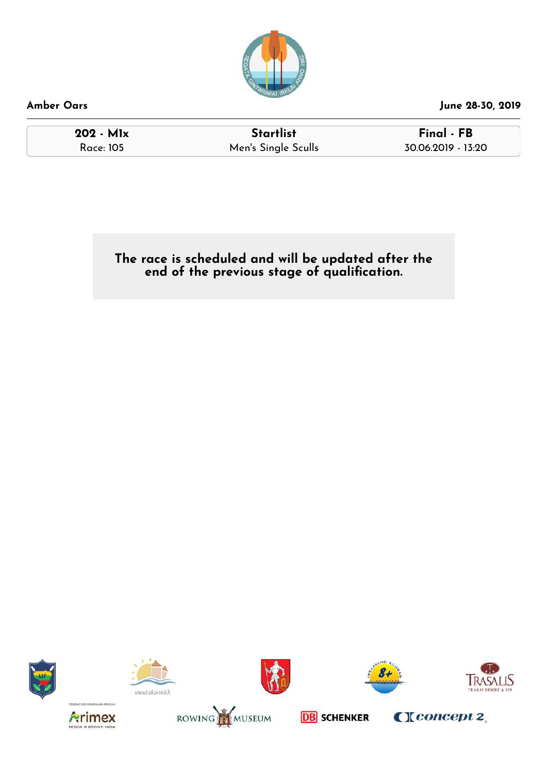![](_page_30_Picture_0.jpeg)

**202 - M1x Startlist Final - FB** Race: 105 Men's Single Sculls 30.06.2019 - 13:20

**The race is scheduled and will be updated after the end of the previous stage of qualication.**

![](_page_30_Picture_6.jpeg)

![](_page_30_Picture_7.jpeg)

![](_page_30_Picture_8.jpeg)

![](_page_30_Picture_9.jpeg)

![](_page_30_Picture_10.jpeg)

![](_page_30_Picture_11.jpeg)

![](_page_30_Picture_12.jpeg)

![](_page_30_Picture_14.jpeg)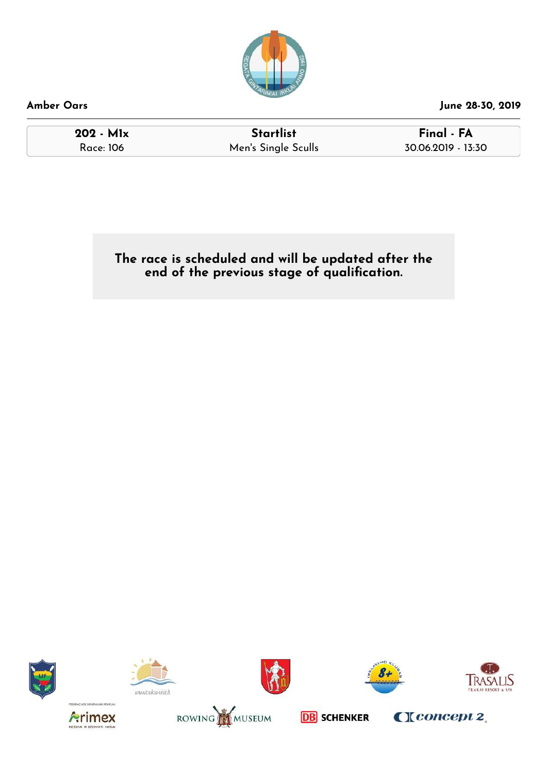![](_page_31_Picture_0.jpeg)

**202 - M1x Startlist Final - FA** Race: 106 Men's Single Sculls 30.06.2019 - 13:30

**The race is scheduled and will be updated after the end of the previous stage of qualication.**

![](_page_31_Picture_7.jpeg)

![](_page_31_Picture_8.jpeg)

![](_page_31_Picture_9.jpeg)

![](_page_31_Picture_10.jpeg)

![](_page_31_Picture_11.jpeg)

![](_page_31_Picture_12.jpeg)

![](_page_31_Picture_13.jpeg)

![](_page_31_Picture_15.jpeg)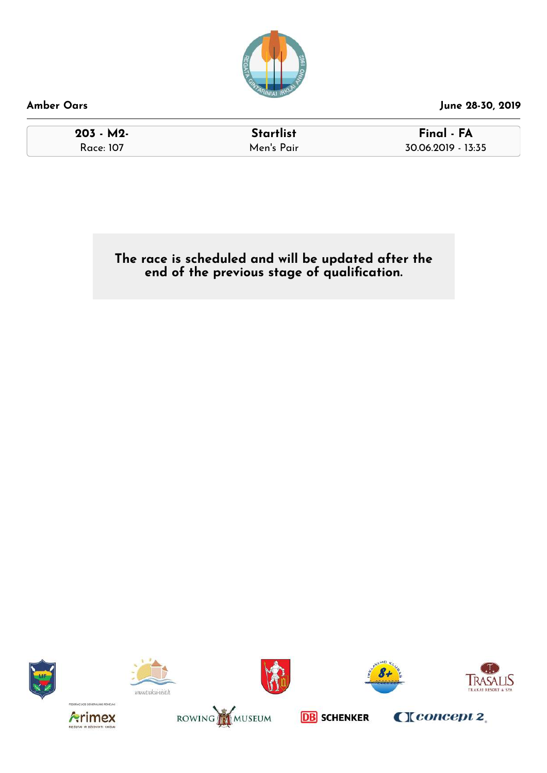![](_page_32_Picture_0.jpeg)

| $203 - M2$ | <b>Startlist</b> | Final - FA         |
|------------|------------------|--------------------|
| Race: 107  | Men's Pair       | 30.06.2019 - 13:35 |

**The race is scheduled and will be updated after the end of the previous stage of qualication.**

![](_page_32_Picture_4.jpeg)

![](_page_32_Picture_5.jpeg)

![](_page_32_Picture_6.jpeg)

![](_page_32_Picture_7.jpeg)

![](_page_32_Picture_8.jpeg)

 $C$ [ $concept 2$ ]

![](_page_32_Picture_9.jpeg)

![](_page_32_Picture_10.jpeg)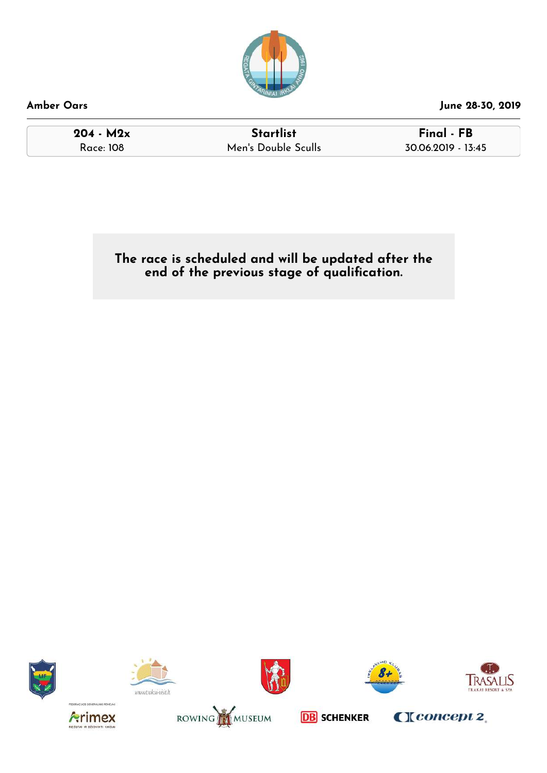![](_page_33_Picture_0.jpeg)

| Amber Oars |  |
|------------|--|
|------------|--|

**204 - M2x Startlist Final - FB** Race: 108 Men's Double Sculls 30.06.2019 - 13:45

**The race is scheduled and will be updated after the end of the previous stage of qualication.**

![](_page_33_Picture_6.jpeg)

![](_page_33_Picture_7.jpeg)

![](_page_33_Picture_8.jpeg)

![](_page_33_Picture_9.jpeg)

![](_page_33_Picture_10.jpeg)

![](_page_33_Picture_11.jpeg)

![](_page_33_Picture_12.jpeg)

![](_page_33_Picture_14.jpeg)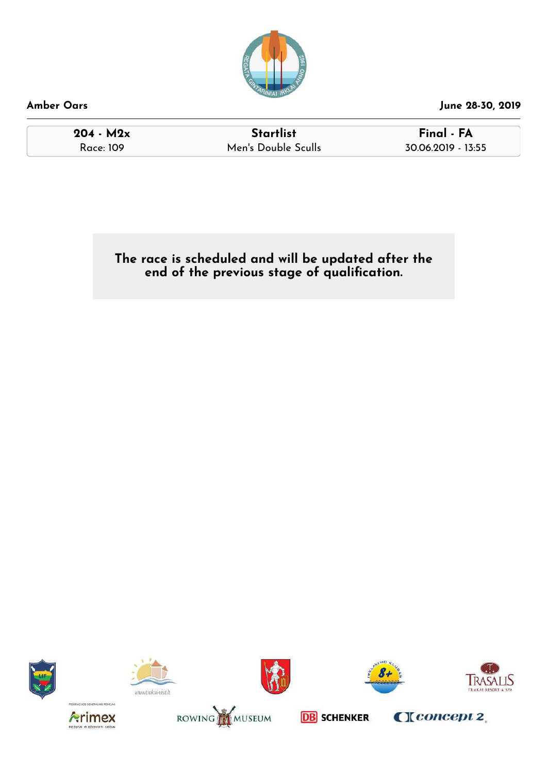![](_page_34_Picture_0.jpeg)

| Amber Oars |  |
|------------|--|
|            |  |

**204 - M2x Startlist Final - FA** Race: 109 Men's Double Sculls 30.06.2019 - 13:55

**The race is scheduled and will be updated after the end of the previous stage of qualication.**

![](_page_34_Picture_7.jpeg)

![](_page_34_Picture_8.jpeg)

![](_page_34_Picture_9.jpeg)

![](_page_34_Picture_10.jpeg)

![](_page_34_Picture_11.jpeg)

![](_page_34_Picture_12.jpeg)

![](_page_34_Picture_13.jpeg)

![](_page_34_Picture_15.jpeg)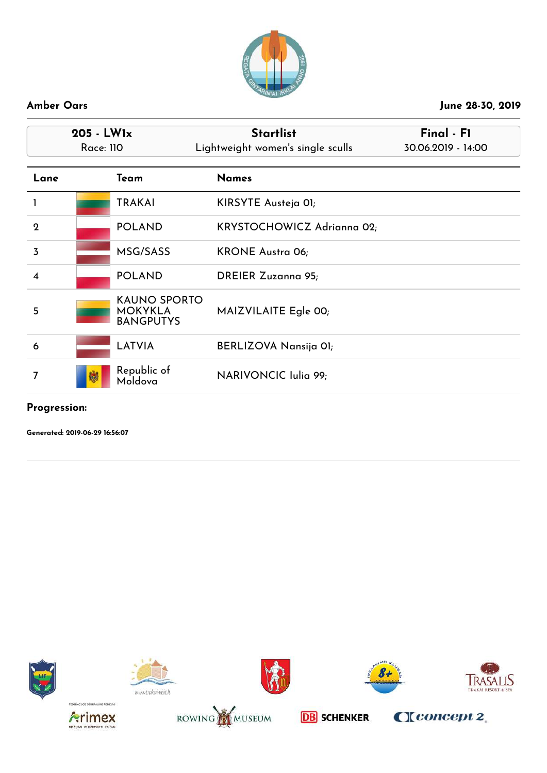![](_page_35_Picture_0.jpeg)

|                         | $205 - LW1x$<br><b>Race: 110</b> |                                                           | <b>Startlist</b><br>Lightweight women's single sculls |  |
|-------------------------|----------------------------------|-----------------------------------------------------------|-------------------------------------------------------|--|
| Lane                    |                                  | Team                                                      | <b>Names</b>                                          |  |
|                         |                                  | <b>TRAKAI</b>                                             | KIRSYTE Austeja OI;                                   |  |
| $\mathbf 2$             |                                  | <b>POLAND</b>                                             | KRYSTOCHOWICZ Adrianna 02;                            |  |
| $\overline{3}$          |                                  | MSG/SASS                                                  | <b>KRONE Austra 06;</b>                               |  |
| $\overline{\mathbf{4}}$ |                                  | <b>POLAND</b>                                             | <b>DREIER Zuzanna 95;</b>                             |  |
| 5                       |                                  | <b>KAUNO SPORTO</b><br><b>MOKYKLA</b><br><b>BANGPUTYS</b> | MAIZVILAITE Egle 00;                                  |  |
| 6                       |                                  | <b>LATVIA</b>                                             | BERLIZOVA Nansija 01;                                 |  |
| 7                       |                                  | Republic of<br>Moldova                                    | NARIVONCIC Iulia 99;                                  |  |

### **Progression:**

**Generated: 2019-06-29 16:56:07**

![](_page_35_Picture_6.jpeg)

![](_page_35_Picture_7.jpeg)

![](_page_35_Picture_8.jpeg)

![](_page_35_Picture_9.jpeg)

![](_page_35_Picture_10.jpeg)

CIconcept 2

![](_page_35_Picture_11.jpeg)

![](_page_35_Picture_12.jpeg)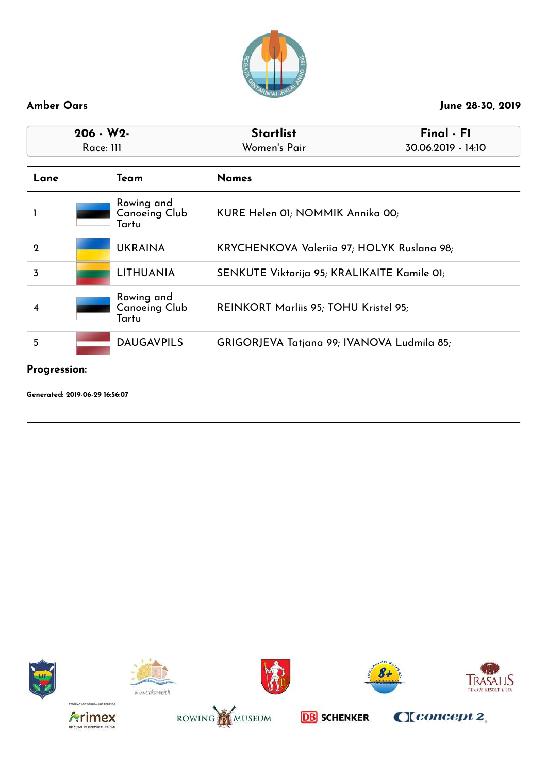![](_page_36_Picture_0.jpeg)

| $206 - W2$  |  |                                             | <b>Startlist</b>                            | Final - F1         |
|-------------|--|---------------------------------------------|---------------------------------------------|--------------------|
| Race: 111   |  |                                             | Women's Pair                                | 30.06.2019 - 14:10 |
| Lane        |  | Team                                        | <b>Names</b>                                |                    |
|             |  | Rowing and<br><b>Canoeing Club</b><br>Tartu | KURE Helen 01; NOMMIK Annika 00;            |                    |
| $\mathbf 2$ |  | <b>UKRAINA</b>                              | KRYCHENKOVA Valeriia 97; HOLYK Ruslana 98;  |                    |
| 3           |  | <b>LITHUANIA</b>                            | SENKUTE Viktorija 95; KRALIKAITE Kamile 01; |                    |
| 4           |  | Rowing and<br><b>Canoeing Club</b><br>Tartu | REINKORT Marliis 95; TOHU Kristel 95;       |                    |
| 5           |  | <b>DAUGAVPILS</b>                           | GRIGORJEVA Tatjana 99; IVANOVA Ludmila 85;  |                    |
|             |  |                                             |                                             |                    |

### **Progression:**

![](_page_36_Picture_6.jpeg)

![](_page_36_Picture_7.jpeg)

![](_page_36_Picture_8.jpeg)

![](_page_36_Picture_9.jpeg)

![](_page_36_Picture_10.jpeg)

![](_page_36_Picture_11.jpeg)

![](_page_36_Picture_12.jpeg)

![](_page_36_Picture_14.jpeg)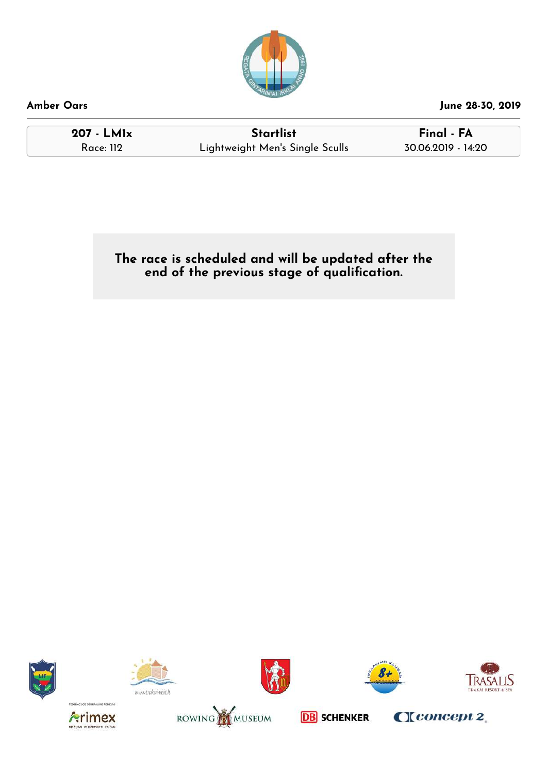![](_page_37_Picture_0.jpeg)

**207 - LM1x Startlist Final - FA** Race: 112 Lightweight Men's Single Sculls 30.06.2019 - 14:20

**The race is scheduled and will be updated after the end of the previous stage of qualication.**

![](_page_37_Picture_7.jpeg)

![](_page_37_Picture_8.jpeg)

![](_page_37_Picture_9.jpeg)

![](_page_37_Picture_10.jpeg)

![](_page_37_Picture_11.jpeg)

![](_page_37_Picture_12.jpeg)

![](_page_37_Picture_13.jpeg)

![](_page_37_Picture_15.jpeg)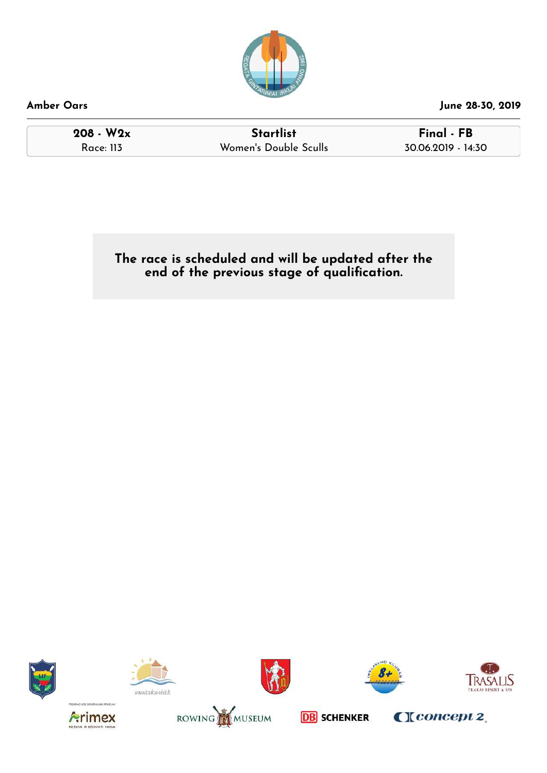![](_page_38_Picture_0.jpeg)

**208 - W2x Startlist Final - FB** Race: 113 Women's Double Sculls 30.06.2019 - 14:30

**The race is scheduled and will be updated after the end of the previous stage of qualication.**

![](_page_38_Picture_7.jpeg)

![](_page_38_Picture_8.jpeg)

![](_page_38_Picture_9.jpeg)

![](_page_38_Picture_10.jpeg)

![](_page_38_Picture_11.jpeg)

![](_page_38_Picture_12.jpeg)

![](_page_38_Picture_13.jpeg)

**DB** SCHENKER

CIconcept 2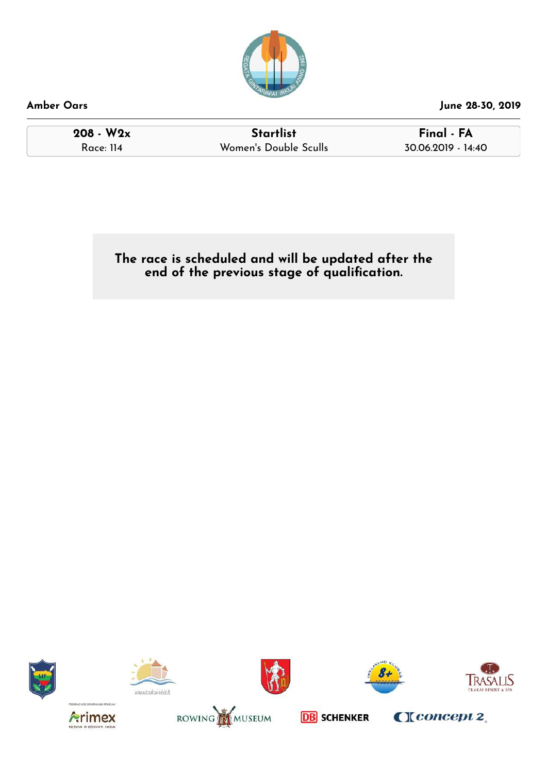![](_page_39_Picture_0.jpeg)

**208 - W2x Startlist Final - FA** Race: 114 Women's Double Sculls

**The race is scheduled and will be updated after the end of the previous stage of qualication.**

![](_page_39_Picture_7.jpeg)

![](_page_39_Picture_8.jpeg)

![](_page_39_Picture_9.jpeg)

![](_page_39_Picture_10.jpeg)

![](_page_39_Picture_11.jpeg)

![](_page_39_Picture_12.jpeg)

![](_page_39_Picture_13.jpeg)

![](_page_39_Picture_15.jpeg)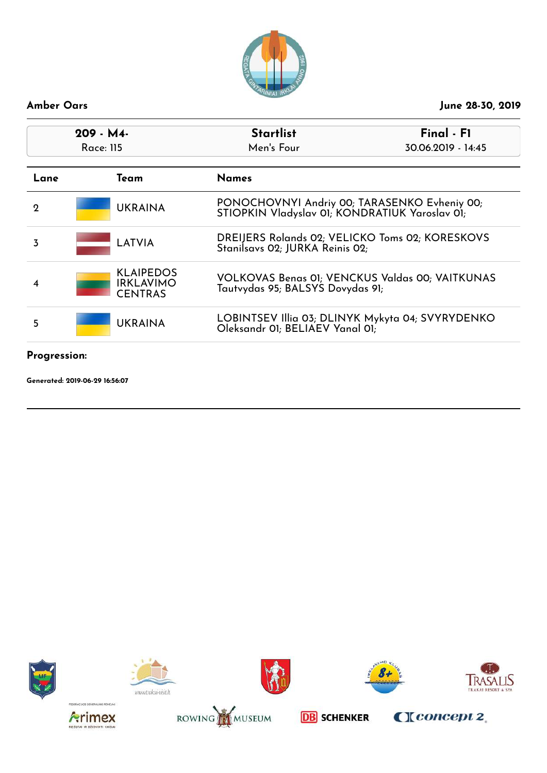![](_page_40_Picture_0.jpeg)

| $209 - M4$<br>Race: 115 |                                                        | <b>Startlist</b><br>Men's Four                                                                 | Final - F1<br>30.06.2019 - 14:45 |
|-------------------------|--------------------------------------------------------|------------------------------------------------------------------------------------------------|----------------------------------|
| Lane                    | Team                                                   | <b>Names</b>                                                                                   |                                  |
| $\mathbf 2$             | <b>UKRAINA</b>                                         | PONOCHOVNYI Andriy 00; TARASENKO Evheniy 00;<br>STIOPKIN Vladyslav 01; KONDRATIUK Yaroslav 01; |                                  |
| 3                       | LATVIA                                                 | DREIJERS Rolands 02; VELICKO Toms 02; KORESKOVS<br>Stanilsavs 02; JURKA Reinis 02;             |                                  |
| 4                       | <b>KLAIPEDOS</b><br><b>IRKLAVIMO</b><br><b>CENTRAS</b> | VOLKOVAS Benas 01; VENCKUS Valdas 00; VAITKUNAS<br>Tautvydas 95; BALSYS Dovydas 91;            |                                  |
| 5                       | <b>UKRAINA</b>                                         | LOBINTSEV Illia 03; DLINYK Mykyta 04; SVYRYDENKO<br>Oleksandr OI; BELIAEV Yanal OI;            |                                  |
| Progression:            |                                                        |                                                                                                |                                  |

![](_page_40_Picture_5.jpeg)

![](_page_40_Picture_6.jpeg)

![](_page_40_Picture_7.jpeg)

![](_page_40_Picture_8.jpeg)

![](_page_40_Picture_9.jpeg)

![](_page_40_Picture_10.jpeg)

![](_page_40_Picture_11.jpeg)

![](_page_40_Picture_13.jpeg)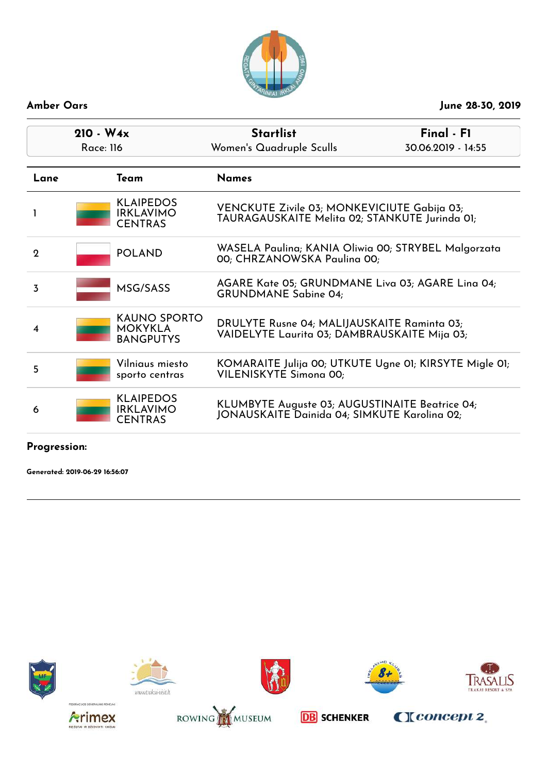![](_page_41_Picture_0.jpeg)

| $210 - W_4x$<br>Race: 116 |                                                        | <b>Startlist</b><br>Women's Quadruple Sculls                                                   | Final - F1<br>30.06.2019 - 14:55 |
|---------------------------|--------------------------------------------------------|------------------------------------------------------------------------------------------------|----------------------------------|
| Lane                      | Team                                                   | <b>Names</b>                                                                                   |                                  |
|                           | <b>KLAIPEDOS</b><br><b>IRKLAVIMO</b><br><b>CENTRAS</b> | VENCKUTE Zivile 03; MONKEVICIUTE Gabija 03;<br>TAURAGAUSKAITE Melita 02; STANKUTE Jurinda 01;  |                                  |
| $\mathbf{2}$              | <b>POLAND</b>                                          | WASELA Paulina; KANIA Oliwia 00; STRYBEL Malgorzata<br>00; CHRZANOWSKA Paulina 00;             |                                  |
| 3                         | MSG/SASS                                               | AGARE Kate 05; GRUNDMANE Liva 03; AGARE Lina 04;<br><b>GRUNDMANE Sabine 04;</b>                |                                  |
| 4                         | <b>KAUNO SPORTO</b><br>MOKYKLA<br><b>BANGPUTYS</b>     | DRULYTE Rusne 04; MALIJAUSKAITE Raminta 03;<br>VAIDELYTE Laurita 03; DAMBRAUSKAITE Mija 03;    |                                  |
| 5                         | Vilniaus miesto<br>sporto centras                      | KOMARAITE Julija 00; UTKUTE Ugne 01; KIRSYTE Migle 01;<br>VILENISKYTE Simona 00;               |                                  |
| 6                         | <b>KLAIPEDOS</b><br><b>IRKLAVIMO</b><br><b>CENTRAS</b> | KLUMBYTE Auguste 03; AUGUSTINAITE Beatrice 04;<br>JONAUSKAITE Dainida 04; SIMKUTE Karolina 02; |                                  |

**Progression:**

**Generated: 2019-06-29 16:56:07**

![](_page_41_Picture_6.jpeg)

![](_page_41_Picture_7.jpeg)

![](_page_41_Picture_8.jpeg)

![](_page_41_Picture_9.jpeg)

![](_page_41_Picture_10.jpeg)

![](_page_41_Picture_11.jpeg)

![](_page_41_Picture_12.jpeg)

![](_page_41_Picture_14.jpeg)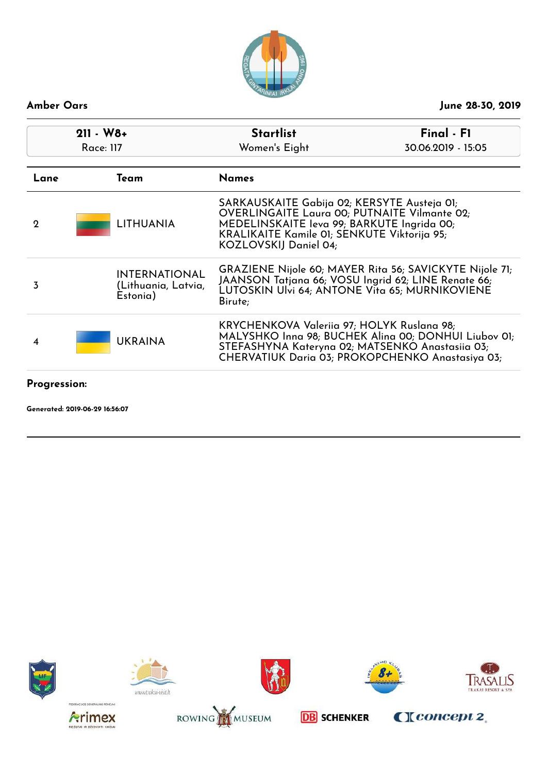![](_page_42_Picture_0.jpeg)

| $211 - W8 +$<br><b>Race: 117</b> |                                                         | <b>Startlist</b><br>Women's Eight                                                                                                                                                                                        | Final - F1<br>30.06.2019 - 15:05                                                                         |
|----------------------------------|---------------------------------------------------------|--------------------------------------------------------------------------------------------------------------------------------------------------------------------------------------------------------------------------|----------------------------------------------------------------------------------------------------------|
| Lane                             | Team                                                    | <b>Names</b>                                                                                                                                                                                                             |                                                                                                          |
| $\mathbf 2$                      | LITHUANIA                                               | SARKAUSKAITE Gabija 02; KERSYTE Austeja 01;<br><b>OVERLINGAITE Laura 00; PUTNAITE Vilmante 02;</b><br>MEDELINSKAITE leva 99; BARKUTE Ingrida 00;<br>KRALIKAITE Kamile 01; SENKUTE Viktorija 95;<br>KOZLOVSKIJ Daniel 04; |                                                                                                          |
| 3                                | <b>INTERNATIONAL</b><br>(Lithuania, Latvia,<br>Estonia) | GRAZIENE Nijole 60; MAYER Rita 56; SAVICKYTE Nijole 71;<br>JAANSON Tatjana 66; VOSU Ingrid 62; LINE Renate 66;<br>LUTOSKIN Ulvi 64; ANTONE Vita 65; MURNIKOVIENE<br>Birute;                                              |                                                                                                          |
| 4                                | <b>UKRAINA</b>                                          | KRYCHENKOVA Valeriia 97; HOLYK Ruslana 98;<br>STEFASHYNA Kateryna 02; MATSENKO Anastasiia 03;                                                                                                                            | MALYSHKO Inna 98; BUCHEK Alina 00; DONHUI Liubov 01;<br>CHERVATIUK Daria 03; PROKOPCHENKO Anastasiya 03; |
| <b>Progression:</b>              |                                                         |                                                                                                                                                                                                                          |                                                                                                          |

![](_page_42_Picture_5.jpeg)

![](_page_42_Picture_6.jpeg)

![](_page_42_Picture_7.jpeg)

![](_page_42_Picture_8.jpeg)

![](_page_42_Picture_9.jpeg)

![](_page_42_Picture_10.jpeg)

![](_page_42_Picture_11.jpeg)

![](_page_42_Picture_13.jpeg)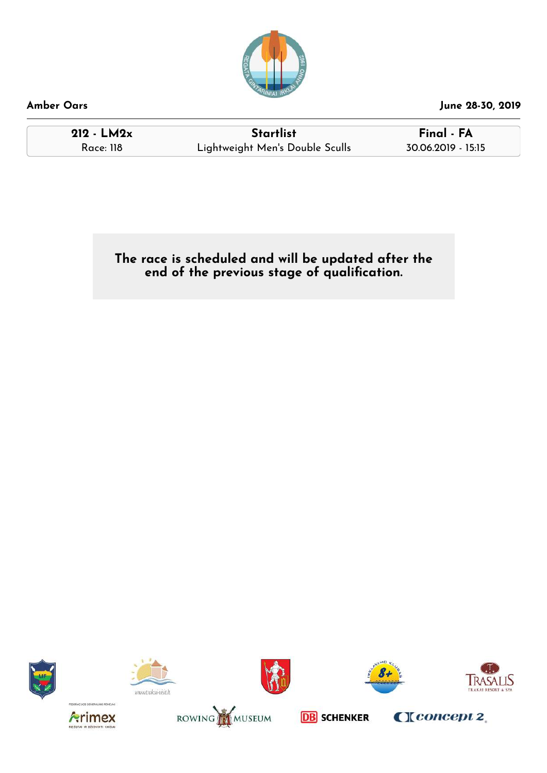![](_page_43_Picture_0.jpeg)

**212 - LM2x Startlist Final - FA** Race: 118 Lightweight Men's Double Sculls 30.06.2019 - 15:15

**The race is scheduled and will be updated after the end of the previous stage of qualication.**

![](_page_43_Picture_7.jpeg)

![](_page_43_Picture_8.jpeg)

![](_page_43_Picture_9.jpeg)

![](_page_43_Picture_10.jpeg)

![](_page_43_Picture_11.jpeg)

![](_page_43_Picture_12.jpeg)

![](_page_43_Picture_13.jpeg)

![](_page_43_Picture_15.jpeg)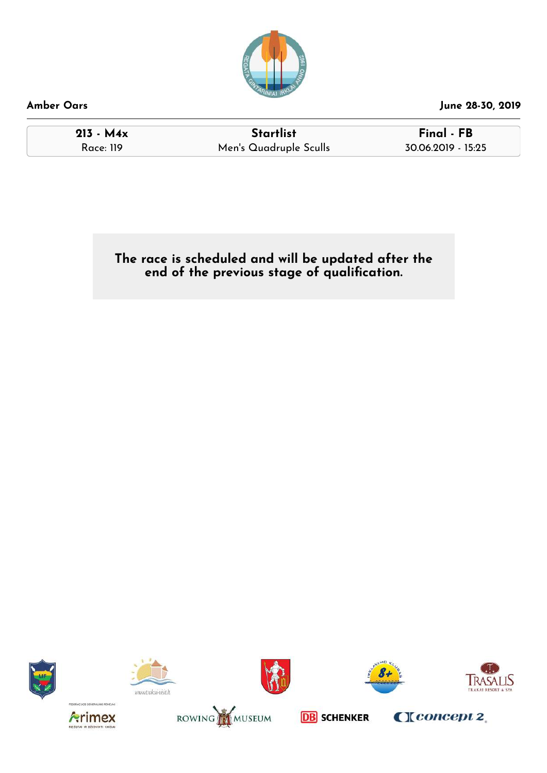![](_page_44_Picture_0.jpeg)

**213 - M4x Startlist Final - FB** Race: 119 Men's Quadruple Sculls 30.06.2019 - 15:25

**The race is scheduled and will be updated after the end of the previous stage of qualication.**

![](_page_44_Picture_7.jpeg)

![](_page_44_Picture_8.jpeg)

![](_page_44_Picture_9.jpeg)

![](_page_44_Picture_10.jpeg)

![](_page_44_Picture_11.jpeg)

![](_page_44_Picture_12.jpeg)

![](_page_44_Picture_13.jpeg)

![](_page_44_Picture_15.jpeg)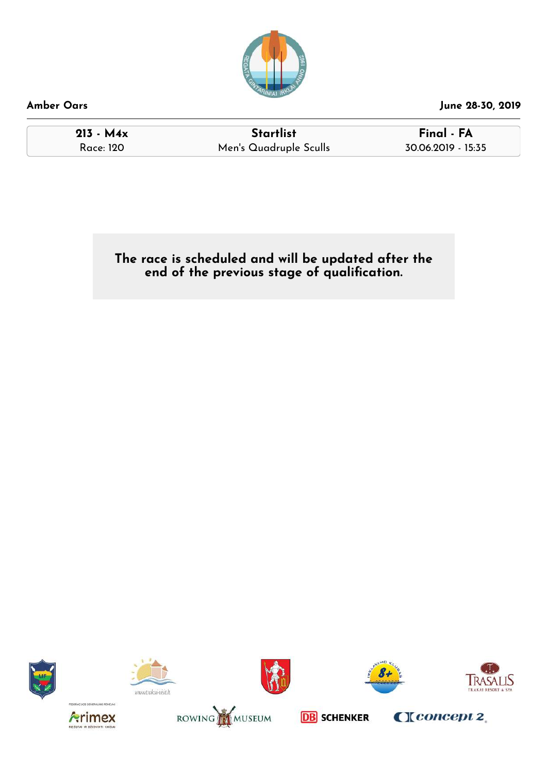![](_page_45_Picture_0.jpeg)

**213 - M4x Startlist Final - FA** Race: 120 Men's Quadruple Sculls 30.06.2019 - 15:35

**The race is scheduled and will be updated after the end of the previous stage of qualication.**

![](_page_45_Picture_7.jpeg)

![](_page_45_Picture_8.jpeg)

![](_page_45_Picture_9.jpeg)

![](_page_45_Picture_10.jpeg)

![](_page_45_Picture_11.jpeg)

![](_page_45_Picture_12.jpeg)

![](_page_45_Picture_13.jpeg)

![](_page_45_Picture_15.jpeg)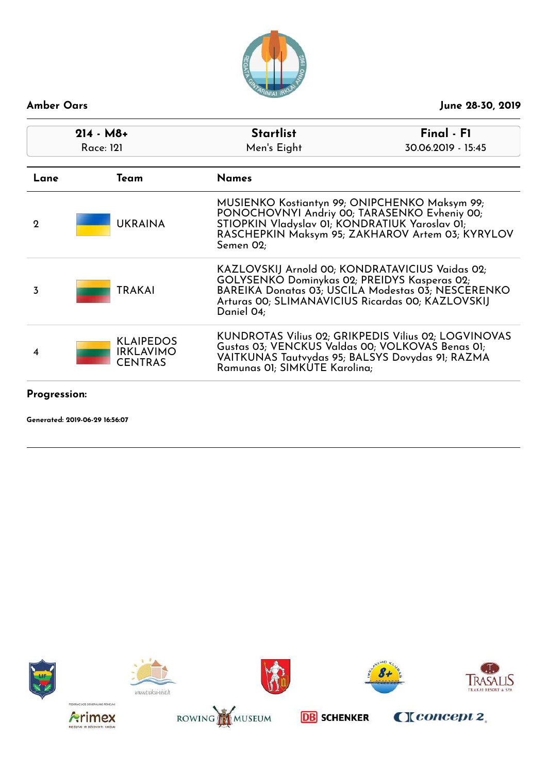![](_page_46_Picture_0.jpeg)

| $214 - M8+$<br><b>Race: 121</b> |                                                        | <b>Startlist</b><br>Final - F1<br>Men's Eight<br>30.06.2019 - 15:45                                                                                                |                                                      |
|---------------------------------|--------------------------------------------------------|--------------------------------------------------------------------------------------------------------------------------------------------------------------------|------------------------------------------------------|
| Lane                            | Team                                                   | <b>Names</b>                                                                                                                                                       |                                                      |
| 2                               | <b>UKRAINA</b>                                         | MUSIENKO Kostiantyn 99; ONIPCHENKO Maksym 99;<br>PONOCHOVNYI Andriy 00; TARASENKO Evheniy 00;<br>STIOPKIN Vladyslav 01; KONDRATIUK Yaroslav 01;<br>Semen 02;       | RASCHEPKIN Maksym 95; ZAKHAROV Artem 03; KYRYLOV     |
| 3                               | <b>TRAKAI</b>                                          | KAZLOVSKIJ Arnold 00; KONDRATAVICIUS Vaidas 02;<br>GOLYSENKO Dominykas 02; PREIDYS Kasperas 02;<br>Arturas 00; SLIMANAVICIUS Ricardas 00; KAZLOVSKIJ<br>Daniel 04; | BAREIKA Donatas 03; USCILA Modestas 03; NESCERENKO   |
| 4                               | <b>KLAIPEDOS</b><br><b>IRKLAVIMO</b><br><b>CENTRAS</b> | Gustas 03; VENCKUS Valdas 00; VOLKOVAS Benas 01;<br>VAITKUNAS Tautvydas 95; BALSYS Dovydas 91; RAZMA<br>Ramunas OI; SIMKUTE Karolina;                              | KUNDROTAS Vilius 02; GRIKPEDIS Vilius 02; LOGVINOVAS |

**Progression:**

![](_page_46_Picture_6.jpeg)

![](_page_46_Picture_7.jpeg)

![](_page_46_Picture_8.jpeg)

![](_page_46_Picture_9.jpeg)

![](_page_46_Picture_10.jpeg)

![](_page_46_Picture_11.jpeg)

![](_page_46_Picture_12.jpeg)

![](_page_46_Picture_14.jpeg)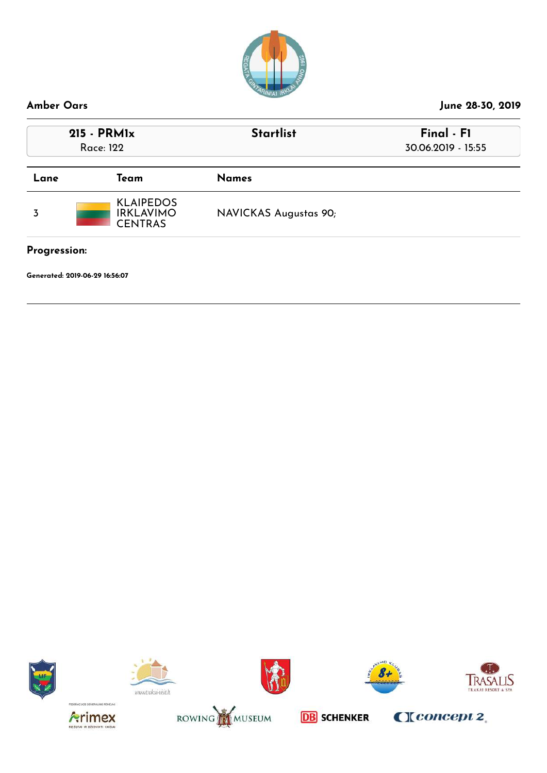![](_page_47_Picture_0.jpeg)

![](_page_47_Picture_5.jpeg)

![](_page_47_Picture_6.jpeg)

![](_page_47_Picture_7.jpeg)

![](_page_47_Picture_8.jpeg)

![](_page_47_Picture_9.jpeg)

![](_page_47_Picture_10.jpeg)

![](_page_47_Picture_11.jpeg)

![](_page_47_Picture_13.jpeg)